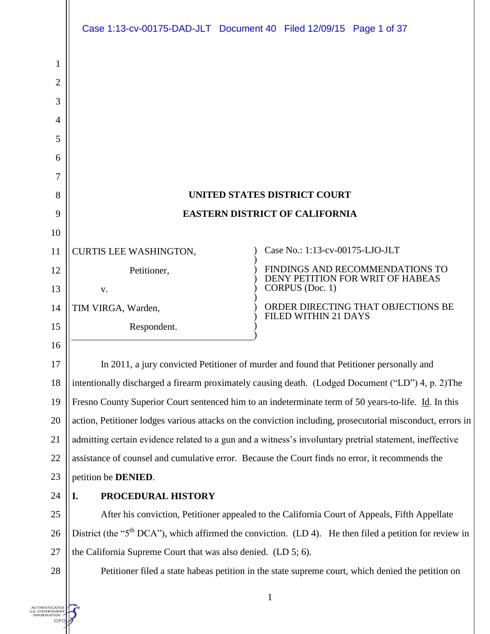|                                     | Case 1:13-cv-00175-DAD-JLT Document 40 Filed 12/09/15 Page 1 of 37 |                                                                                                                                                                                                                       |
|-------------------------------------|--------------------------------------------------------------------|-----------------------------------------------------------------------------------------------------------------------------------------------------------------------------------------------------------------------|
| 1                                   |                                                                    |                                                                                                                                                                                                                       |
| $\overline{2}$                      |                                                                    |                                                                                                                                                                                                                       |
| 3                                   |                                                                    |                                                                                                                                                                                                                       |
| 4                                   |                                                                    |                                                                                                                                                                                                                       |
| 5                                   |                                                                    |                                                                                                                                                                                                                       |
| 6                                   |                                                                    |                                                                                                                                                                                                                       |
| 7                                   |                                                                    |                                                                                                                                                                                                                       |
| 8                                   |                                                                    | <b>UNITED STATES DISTRICT COURT</b>                                                                                                                                                                                   |
| 9                                   |                                                                    | <b>EASTERN DISTRICT OF CALIFORNIA</b>                                                                                                                                                                                 |
| 10                                  |                                                                    |                                                                                                                                                                                                                       |
| 11                                  | <b>CURTIS LEE WASHINGTON,</b>                                      | Case No.: 1:13-cv-00175-LJO-JLT                                                                                                                                                                                       |
| 12                                  | Petitioner,                                                        | FINDINGS AND RECOMMENDATIONS TO<br>DENY PETITION FOR WRIT OF HABEAS                                                                                                                                                   |
| 13                                  | V.                                                                 | CORPUS (Doc. 1)                                                                                                                                                                                                       |
| 14                                  | TIM VIRGA, Warden,                                                 | ORDER DIRECTING THAT OBJECTIONS BE<br><b>FILED WITHIN 21 DAYS</b>                                                                                                                                                     |
| 15                                  | Respondent.                                                        |                                                                                                                                                                                                                       |
| 16                                  |                                                                    |                                                                                                                                                                                                                       |
| 17                                  |                                                                    | In 2011, a jury convicted Petitioner of murder and found that Petitioner personally and                                                                                                                               |
| 18                                  |                                                                    | intentionally discharged a firearm proximately causing death. (Lodged Document ("LD") 4, p. 2) The                                                                                                                    |
| 19                                  |                                                                    | Fresno County Superior Court sentenced him to an indeterminate term of 50 years-to-life. Id. In this                                                                                                                  |
| 20<br>21                            |                                                                    | action, Petitioner lodges various attacks on the conviction including, prosecutorial misconduct, errors in<br>admitting certain evidence related to a gun and a witness's involuntary pretrial statement, ineffective |
| 22                                  |                                                                    | assistance of counsel and cumulative error. Because the Court finds no error, it recommends the                                                                                                                       |
| 23                                  | petition be <b>DENIED</b> .                                        |                                                                                                                                                                                                                       |
| 24                                  | PROCEDURAL HISTORY<br>I.                                           |                                                                                                                                                                                                                       |
| 25                                  |                                                                    | After his conviction, Petitioner appealed to the California Court of Appeals, Fifth Appellate                                                                                                                         |
| 26                                  |                                                                    | District (the "5 <sup>th</sup> DCA"), which affirmed the conviction. (LD 4). He then filed a petition for review in                                                                                                   |
| 27                                  | the California Supreme Court that was also denied. (LD 5; 6).      |                                                                                                                                                                                                                       |
| $28\,$                              |                                                                    | Petitioner filed a state habeas petition in the state supreme court, which denied the petition on                                                                                                                     |
|                                     |                                                                    |                                                                                                                                                                                                                       |
| <b>ITHENTICATED</b><br><b>ATION</b> |                                                                    | $\mathbf{1}$                                                                                                                                                                                                          |
|                                     |                                                                    |                                                                                                                                                                                                                       |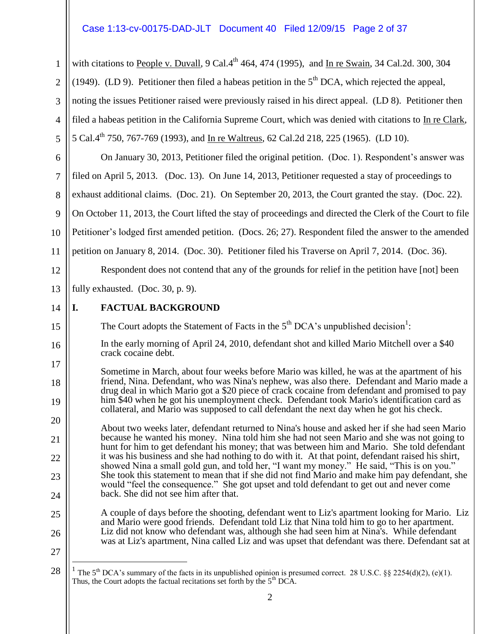### Case 1:13-cv-00175-DAD-JLT Document 40 Filed 12/09/15 Page 2 of 37

with citations to People v. Duvall,  $9 \text{ Cal}.4^{\text{th}}$  464, 474 (1995), and In re Swain, 34 Cal.2d. 300, 304 (1949). (LD 9). Petitioner then filed a habeas petition in the  $5<sup>th</sup>$  DCA, which rejected the appeal, noting the issues Petitioner raised were previously raised in his direct appeal. (LD 8). Petitioner then filed a habeas petition in the California Supreme Court, which was denied with citations to In re Clark, 5 Cal.4th 750, 767-769 (1993), and In re Waltreus, 62 Cal.2d 218, 225 (1965). (LD 10).

6 7 8 9 10 11 On January 30, 2013, Petitioner filed the original petition. (Doc. 1). Respondent's answer was filed on April 5, 2013. (Doc. 13). On June 14, 2013, Petitioner requested a stay of proceedings to exhaust additional claims. (Doc. 21). On September 20, 2013, the Court granted the stay. (Doc. 22). On October 11, 2013, the Court lifted the stay of proceedings and directed the Clerk of the Court to file Petitioner's lodged first amended petition. (Docs. 26; 27). Respondent filed the answer to the amended petition on January 8, 2014. (Doc. 30). Petitioner filed his Traverse on April 7, 2014. (Doc. 36).

Respondent does not contend that any of the grounds for relief in the petition have [not] been

13 fully exhausted. (Doc. 30, p. 9).

14 **I. FACTUAL BACKGROUND**

1

2

3

4

5

12

15

16

17

18

19

20

21

22

23

24

25

26

The Court adopts the Statement of Facts in the  $5<sup>th</sup> DCA$ 's unpublished decision<sup>1</sup>:

In the early morning of April 24, 2010, defendant shot and killed Mario Mitchell over a \$40 crack cocaine debt.

Sometime in March, about four weeks before Mario was killed, he was at the apartment of his friend, Nina. Defendant, who was Nina's nephew, was also there. Defendant and Mario made a drug deal in which Mario got a \$20 piece of crack cocaine from defendant and promised to pay him \$40 when he got his unemployment check. Defendant took Mario's identification card as collateral, and Mario was supposed to call defendant the next day when he got his check.

About two weeks later, defendant returned to Nina's house and asked her if she had seen Mario because he wanted his money. Nina told him she had not seen Mario and she was not going to hunt for him to get defendant his money; that was between him and Mario. She told defendant it was his business and she had nothing to do with it. At that point, defendant raised his shirt, showed Nina a small gold gun, and told her, "I want my money." He said, "This is on you." She took this statement to mean that if she did not find Mario and make him pay defendant, she would "feel the consequence." She got upset and told defendant to get out and never come back. She did not see him after that.

A couple of days before the shooting, defendant went to Liz's apartment looking for Mario. Liz and Mario were good friends. Defendant told Liz that Nina told him to go to her apartment. Liz did not know who defendant was, although she had seen him at Nina's. While defendant was at Liz's apartment, Nina called Liz and was upset that defendant was there. Defendant sat at

 $\overline{a}$ 

<sup>27</sup> 28

<sup>1</sup> The 5<sup>th</sup> DCA's summary of the facts in its unpublished opinion is presumed correct. 28 U.S.C. §§ 2254(d)(2), (e)(1). Thus, the Court adopts the factual recitations set forth by the  $5<sup>th</sup> DCA$ .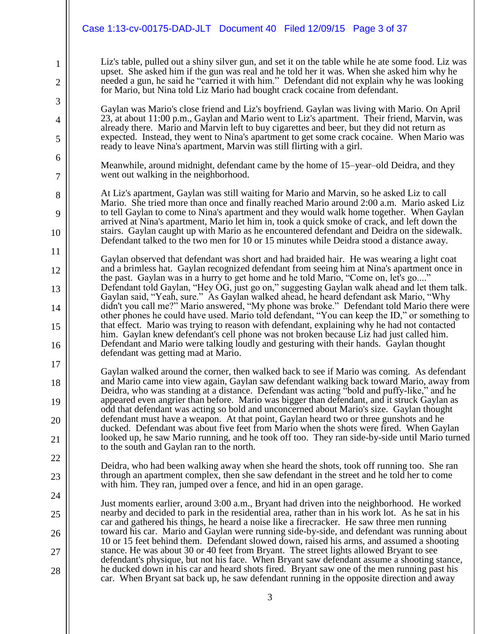|                                | Case 1:13-cv-00175-DAD-JLT Document 40 Filed 12/09/15 Page 3 of 37                                                                                                                                                                                                                                                                                                                                                                                                                    |
|--------------------------------|---------------------------------------------------------------------------------------------------------------------------------------------------------------------------------------------------------------------------------------------------------------------------------------------------------------------------------------------------------------------------------------------------------------------------------------------------------------------------------------|
| $\mathbf{1}$<br>$\overline{2}$ | Liz's table, pulled out a shiny silver gun, and set it on the table while he ate some food. Liz was<br>upset. She asked him if the gun was real and he told her it was. When she asked him why he<br>needed a gun, he said he "carried it with him." Defendant did not explain why he was looking<br>for Mario, but Nina told Liz Mario had bought crack cocaine from defendant.                                                                                                      |
| 3<br>4<br>5                    | Gaylan was Mario's close friend and Liz's boyfriend. Gaylan was living with Mario. On April<br>23, at about 11:00 p.m., Gaylan and Mario went to Liz's apartment. Their friend, Marvin, was<br>already there. Mario and Marvin left to buy cigarettes and beer, but they did not return as<br>expected. Instead, they went to Nina's apartment to get some crack cocaine. When Mario was<br>ready to leave Nina's apartment, Marvin was still flirting with a girl.                   |
| 6<br>7                         | Meanwhile, around midnight, defendant came by the home of 15-year-old Deidra, and they<br>went out walking in the neighborhood.                                                                                                                                                                                                                                                                                                                                                       |
| 8<br>9<br>10                   | At Liz's apartment, Gaylan was still waiting for Mario and Marvin, so he asked Liz to call<br>Mario. She tried more than once and finally reached Mario around 2:00 a.m. Mario asked Liz<br>to tell Gaylan to come to Nina's apartment and they would walk home together. When Gaylan<br>arrived at Nina's apartment, Mario let him in, took a quick smoke of crack, and left down the<br>stairs. Gaylan caught up with Mario as he encountered defendant and Deidra on the sidewalk. |
| 11                             | Defendant talked to the two men for 10 or 15 minutes while Deidra stood a distance away.<br>Gaylan observed that defendant was short and had braided hair. He was wearing a light coat                                                                                                                                                                                                                                                                                                |
| 12<br>13                       | and a brimless hat. Gaylan recognized defendant from seeing him at Nina's apartment once in<br>the past. Gaylan was in a hurry to get home and he told Mario, "Come on, let's go"<br>Defendant told Gaylan, "Hey OG, just go on," suggesting Gaylan walk ahead and let them talk.                                                                                                                                                                                                     |
| 14                             | Gaylan said, "Yeah, sure." As Gaylan walked ahead, he heard defendant ask Mario, "Why<br>didn't you call me?" Mario answered, "My phone was broke." Defendant told Mario there were<br>other phones he could have used. Mario told defendant, "You can keep the ID," or something to<br>that effect. Mario was trying to reason with defendant, explaining why he had not contacted                                                                                                   |
| 15<br>16                       | him. Gaylan knew defendant's cell phone was not broken because Liz had just called him.<br>Defendant and Mario were talking loudly and gesturing with their hands. Gaylan thought<br>defendant was getting mad at Mario.                                                                                                                                                                                                                                                              |
| 17                             | Gaylan walked around the corner, then walked back to see if Mario was coming. As defendant<br>and Mario came into view again, Gaylan saw defendant walking back toward Mario, away from                                                                                                                                                                                                                                                                                               |
| 18<br>19                       | Deidra, who was standing at a distance. Defendant was acting "bold and puffy-like," and he<br>appeared even angrier than before. Mario was bigger than defendant, and it struck Gaylan as                                                                                                                                                                                                                                                                                             |
| 20                             | odd that defendant was acting so bold and unconcerned about Mario's size. Gaylan thought<br>defendant must have a weapon. At that point, Gaylan heard two or three gunshots and he<br>ducked. Defendant was about five feet from Mario when the shots were fired. When Gaylan                                                                                                                                                                                                         |
| 21<br>22                       | looked up, he saw Mario running, and he took off too. They ran side-by-side until Mario turned<br>to the south and Gaylan ran to the north.                                                                                                                                                                                                                                                                                                                                           |
| 23                             | Deidra, who had been walking away when she heard the shots, took off running too. She ran<br>through an apartment complex, then she saw defendant in the street and he told her to come                                                                                                                                                                                                                                                                                               |
| 24                             | with him. They ran, jumped over a fence, and hid in an open garage.<br>Just moments earlier, around 3:00 a.m., Bryant had driven into the neighborhood. He worked                                                                                                                                                                                                                                                                                                                     |
| 25                             | nearby and decided to park in the residential area, rather than in his work lot. As he sat in his<br>car and gathered his things, he heard a noise like a firecracker. He saw three men running<br>toward his car. Mario and Gaylan were running side-by-side, and defendant was running about                                                                                                                                                                                        |
| 26<br>27                       | 10 or 15 feet behind them. Defendant slowed down, raised his arms, and assumed a shooting<br>stance. He was about 30 or 40 feet from Bryant. The street lights allowed Bryant to see                                                                                                                                                                                                                                                                                                  |
| 28                             | defendant's physique, but not his face. When Bryant saw defendant assume a shooting stance,<br>he ducked down in his car and heard shots fired. Bryant saw one of the men running past his<br>car. When Bryant sat back up, he saw defendant running in the opposite direction and away                                                                                                                                                                                               |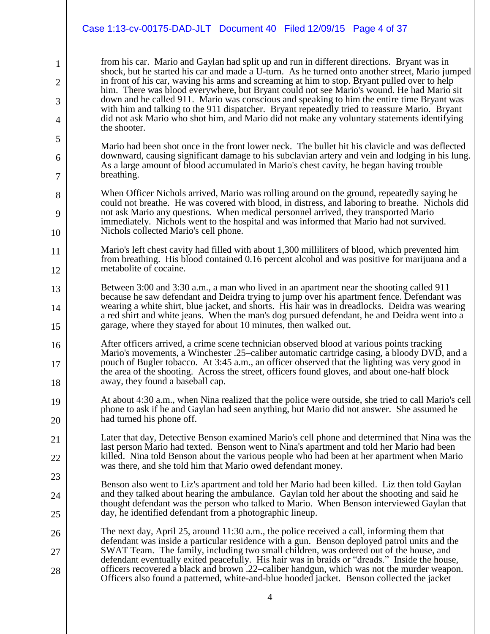### Case 1:13-cv-00175-DAD-JLT Document 40 Filed 12/09/15 Page 4 of 37

1

2

3

4

5

6

7

8

9

10

21

22

23

24

25

from his car. Mario and Gaylan had split up and run in different directions. Bryant was in shock, but he started his car and made a U-turn. As he turned onto another street, Mario jumped in front of his car, waving his arms and screaming at him to stop. Bryant pulled over to help him. There was blood everywhere, but Bryant could not see Mario's wound. He had Mario sit down and he called 911. Mario was conscious and speaking to him the entire time Bryant was with him and talking to the 911 dispatcher. Bryant repeatedly tried to reassure Mario. Bryant did not ask Mario who shot him, and Mario did not make any voluntary statements identifying the shooter.

Mario had been shot once in the front lower neck. The bullet hit his clavicle and was deflected downward, causing significant damage to his subclavian artery and vein and lodging in his lung. As a large amount of blood accumulated in Mario's chest cavity, he began having trouble breathing.

When Officer Nichols arrived, Mario was rolling around on the ground, repeatedly saying he could not breathe. He was covered with blood, in distress, and laboring to breathe. Nichols did not ask Mario any questions. When medical personnel arrived, they transported Mario immediately. Nichols went to the hospital and was informed that Mario had not survived. Nichols collected Mario's cell phone.

- 11 12 Mario's left chest cavity had filled with about 1,300 milliliters of blood, which prevented him from breathing. His blood contained 0.16 percent alcohol and was positive for marijuana and a metabolite of cocaine.
- 13 14 15 Between 3:00 and 3:30 a.m., a man who lived in an apartment near the shooting called 911 because he saw defendant and Deidra trying to jump over his apartment fence. Defendant was wearing a white shirt, blue jacket, and shorts. His hair was in dreadlocks. Deidra was wearing a red shirt and white jeans. When the man's dog pursued defendant, he and Deidra went into a garage, where they stayed for about 10 minutes, then walked out.
- 16 17 18 After officers arrived, a crime scene technician observed blood at various points tracking Mario's movements, a Winchester .25–caliber automatic cartridge casing, a bloody DVD, and a pouch of Bugler tobacco. At 3:45 a.m., an officer observed that the lighting was very good in the area of the shooting. Across the street, officers found gloves, and about one-half block away, they found a baseball cap.
- 19 20 At about 4:30 a.m., when Nina realized that the police were outside, she tried to call Mario's cell phone to ask if he and Gaylan had seen anything, but Mario did not answer. She assumed he had turned his phone off.
	- Later that day, Detective Benson examined Mario's cell phone and determined that Nina was the last person Mario had texted. Benson went to Nina's apartment and told her Mario had been killed. Nina told Benson about the various people who had been at her apartment when Mario was there, and she told him that Mario owed defendant money.
		- Benson also went to Liz's apartment and told her Mario had been killed. Liz then told Gaylan and they talked about hearing the ambulance. Gaylan told her about the shooting and said he thought defendant was the person who talked to Mario. When Benson interviewed Gaylan that day, he identified defendant from a photographic lineup.
- 26 27 28 The next day, April 25, around 11:30 a.m., the police received a call, informing them that defendant was inside a particular residence with a gun. Benson deployed patrol units and the SWAT Team. The family, including two small children, was ordered out of the house, and defendant eventually exited peacefully. His hair was in braids or "dreads." Inside the house, officers recovered a black and brown .22–caliber handgun, which was not the murder weapon. Officers also found a patterned, white-and-blue hooded jacket. Benson collected the jacket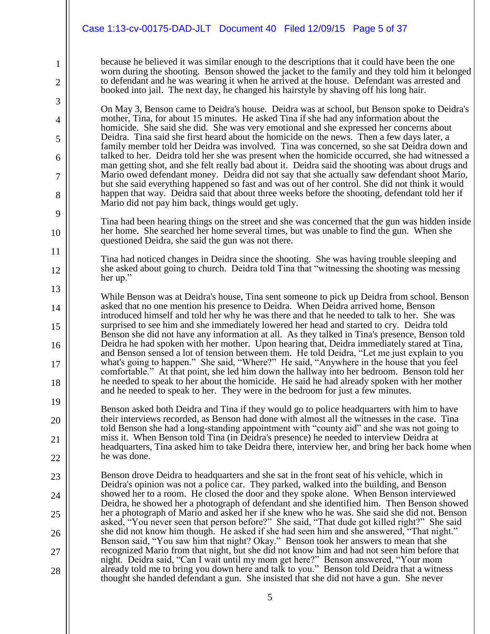1

2

3

4

5

6

7

8

9

10

11

12

13

14

15

16

17

18

because he believed it was similar enough to the descriptions that it could have been the one worn during the shooting. Benson showed the jacket to the family and they told him it belonged to defendant and he was wearing it when he arrived at the house. Defendant was arrested and booked into jail. The next day, he changed his hairstyle by shaving off his long hair.

On May 3, Benson came to Deidra's house. Deidra was at school, but Benson spoke to Deidra's mother, Tina, for about 15 minutes. He asked Tina if she had any information about the homicide. She said she did. She was very emotional and she expressed her concerns about Deidra. Tina said she first heard about the homicide on the news. Then a few days later, a family member told her Deidra was involved. Tina was concerned, so she sat Deidra down and talked to her. Deidra told her she was present when the homicide occurred, she had witnessed a man getting shot, and she felt really bad about it. Deidra said the shooting was about drugs and Mario owed defendant money. Deidra did not say that she actually saw defendant shoot Mario, but she said everything happened so fast and was out of her control. She did not think it would happen that way. Deidra said that about three weeks before the shooting, defendant told her if Mario did not pay him back, things would get ugly.

Tina had been hearing things on the street and she was concerned that the gun was hidden inside her home. She searched her home several times, but was unable to find the gun. When she questioned Deidra, she said the gun was not there.

Tina had noticed changes in Deidra since the shooting. She was having trouble sleeping and she asked about going to church. Deidra told Tina that "witnessing the shooting was messing her up."

While Benson was at Deidra's house, Tina sent someone to pick up Deidra from school. Benson asked that no one mention his presence to Deidra. When Deidra arrived home, Benson introduced himself and told her why he was there and that he needed to talk to her. She was surprised to see him and she immediately lowered her head and started to cry. Deidra told Benson she did not have any information at all. As they talked in Tina's presence, Benson told Deidra he had spoken with her mother. Upon hearing that, Deidra immediately stared at Tina, and Benson sensed a lot of tension between them. He told Deidra, "Let me just explain to you what's going to happen." She said, "Where?" He said, "Anywhere in the house that you feel comfortable." At that point, she led him down the hallway into her bedroom. Benson told her he needed to speak to her about the homicide. He said he had already spoken with her mother and he needed to speak to her. They were in the bedroom for just a few minutes.

19 20 21 22 Benson asked both Deidra and Tina if they would go to police headquarters with him to have their interviews recorded, as Benson had done with almost all the witnesses in the case. Tina told Benson she had a long-standing appointment with "county aid" and she was not going to miss it. When Benson told Tina (in Deidra's presence) he needed to interview Deidra at headquarters, Tina asked him to take Deidra there, interview her, and bring her back home when he was done.

23 24 25 26 27 28 Benson drove Deidra to headquarters and she sat in the front seat of his vehicle, which in Deidra's opinion was not a police car. They parked, walked into the building, and Benson showed her to a room. He closed the door and they spoke alone. When Benson interviewed Deidra, he showed her a photograph of defendant and she identified him. Then Benson showed her a photograph of Mario and asked her if she knew who he was. She said she did not. Benson asked, "You never seen that person before?" She said, "That dude got killed right?" She said she did not know him though. He asked if she had seen him and she answered, "That night." Benson said, "You saw him that night? Okay." Benson took her answers to mean that she recognized Mario from that night, but she did not know him and had not seen him before that night. Deidra said, "Can I wait until my mom get here?" Benson answered, "Your mom already told me to bring you down here and talk to you." Benson told Deidra that a witness thought she handed defendant a gun. She insisted that she did not have a gun. She never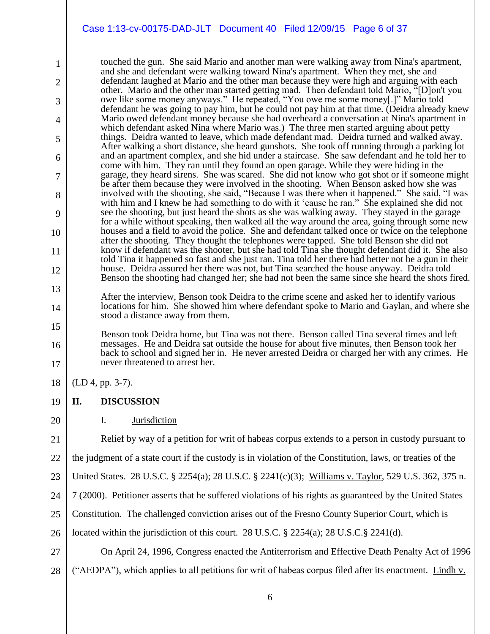touched the gun. She said Mario and another man were walking away from Nina's apartment, and she and defendant were walking toward Nina's apartment. When they met, she and defendant laughed at Mario and the other man because they were high and arguing with each other. Mario and the other man started getting mad. Then defendant told Mario, "[D]on't you owe like some money anyways." He repeated, "You owe me some money[.]" Mario told defendant he was going to pay him, but he could not pay him at that time. (Deidra already knew Mario owed defendant money because she had overheard a conversation at Nina's apartment in which defendant asked Nina where Mario was.) The three men started arguing about petty things. Deidra wanted to leave, which made defendant mad. Deidra turned and walked away. After walking a short distance, she heard gunshots. She took off running through a parking lot and an apartment complex, and she hid under a staircase. She saw defendant and he told her to come with him. They ran until they found an open garage. While they were hiding in the garage, they heard sirens. She was scared. She did not know who got shot or if someone might be after them because they were involved in the shooting. When Benson asked how she was involved with the shooting, she said, "Because I was there when it happened." She said, "I was with him and I knew he had something to do with it 'cause he ran." She explained she did not see the shooting, but just heard the shots as she was walking away. They stayed in the garage for a while without speaking, then walked all the way around the area, going through some new houses and a field to avoid the police. She and defendant talked once or twice on the telephone after the shooting. They thought the telephones were tapped. She told Benson she did not know if defendant was the shooter, but she had told Tina she thought defendant did it. She also told Tina it happened so fast and she just ran. Tina told her there had better not be a gun in their house. Deidra assured her there was not, but Tina searched the house anyway. Deidra told Benson the shooting had changed her; she had not been the same since she heard the shots fired.

After the interview, Benson took Deidra to the crime scene and asked her to identify various locations for him. She showed him where defendant spoke to Mario and Gaylan, and where she stood a distance away from them.

Benson took Deidra home, but Tina was not there. Benson called Tina several times and left messages. He and Deidra sat outside the house for about five minutes, then Benson took her back to school and signed her in. He never arrested Deidra or charged her with any crimes. He never threatened to arrest her.

18 (LD 4, pp. 3-7).

1

2

3

4

5

6

7

8

9

10

11

12

13

14

15

16

17

20

21

#### 19 **II. DISCUSSION**

I. Jurisdiction

Relief by way of a petition for writ of habeas corpus extends to a person in custody pursuant to

22 the judgment of a state court if the custody is in violation of the Constitution, laws, or treaties of the

23 United States. 28 U.S.C. § 2254(a); 28 U.S.C. § 2241(c)(3); Williams v. Taylor, 529 U.S. 362, 375 n.

24 7 (2000). Petitioner asserts that he suffered violations of his rights as guaranteed by the United States

25 Constitution. The challenged conviction arises out of the Fresno County Superior Court, which is

26 located within the jurisdiction of this court. 28 U.S.C. § 2254(a); 28 U.S.C. § 2241(d).

27 28 On April 24, 1996, Congress enacted the Antiterrorism and Effective Death Penalty Act of 1996 ("AEDPA"), which applies to all petitions for writ of habeas corpus filed after its enactment. Lindh v.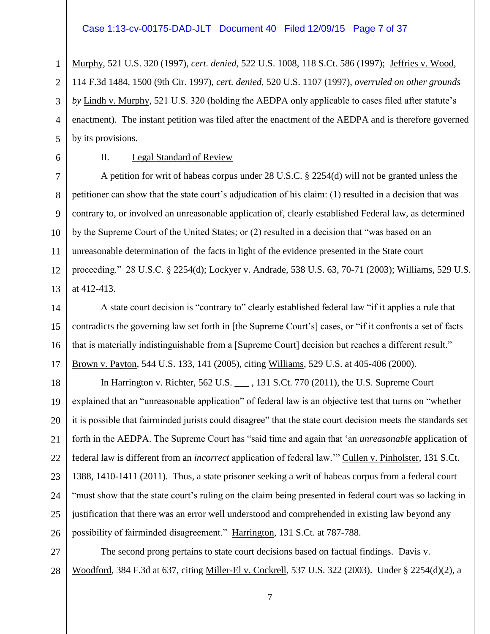### Case 1:13-cv-00175-DAD-JLT Document 40 Filed 12/09/15 Page 7 of 37

Murphy, 521 U.S. 320 (1997), *cert. denied,* 522 U.S. 1008, 118 S.Ct. 586 (1997); Jeffries v. Wood, 114 F.3d 1484, 1500 (9th Cir. 1997), *cert. denied*, 520 U.S. 1107 (1997), *overruled on other grounds by* Lindh v. Murphy, 521 U.S. 320 (holding the AEDPA only applicable to cases filed after statute's enactment). The instant petition was filed after the enactment of the AEDPA and is therefore governed by its provisions.

5 6 7

8

11

1

2

3

4

### II. Legal Standard of Review

 $\mathbf{Q}$ 10 12 13 A petition for writ of habeas corpus under 28 U.S.C. § 2254(d) will not be granted unless the petitioner can show that the state court's adjudication of his claim: (1) resulted in a decision that was contrary to, or involved an unreasonable application of, clearly established Federal law, as determined by the Supreme Court of the United States; or (2) resulted in a decision that "was based on an unreasonable determination of the facts in light of the evidence presented in the State court proceeding." 28 U.S.C. § 2254(d); Lockyer v. Andrade, 538 U.S. 63, 70-71 (2003); Williams, 529 U.S. at 412-413.

14 15 16 17 A state court decision is "contrary to" clearly established federal law "if it applies a rule that contradicts the governing law set forth in [the Supreme Court's] cases, or "if it confronts a set of facts that is materially indistinguishable from a [Supreme Court] decision but reaches a different result." Brown v. Payton, 544 U.S. 133, 141 (2005), citing Williams, 529 U.S. at 405-406 (2000).

18 19 20 21 22 23 24 25 26 In Harrington v. Richter, 562 U.S. \_\_\_ , 131 S.Ct. 770 (2011), the U.S. Supreme Court explained that an "unreasonable application" of federal law is an objective test that turns on "whether it is possible that fairminded jurists could disagree" that the state court decision meets the standards set forth in the AEDPA. The Supreme Court has "said time and again that 'an *unreasonable* application of federal law is different from an *incorrect* application of federal law.'" Cullen v. Pinholster, 131 S.Ct. 1388, 1410-1411 (2011). Thus, a state prisoner seeking a writ of habeas corpus from a federal court "must show that the state court's ruling on the claim being presented in federal court was so lacking in justification that there was an error well understood and comprehended in existing law beyond any possibility of fairminded disagreement." Harrington, 131 S.Ct. at 787-788.

27 28 The second prong pertains to state court decisions based on factual findings. Davis v. Woodford, 384 F.3d at 637, citing Miller-El v. Cockrell, 537 U.S. 322 (2003). Under § 2254(d)(2), a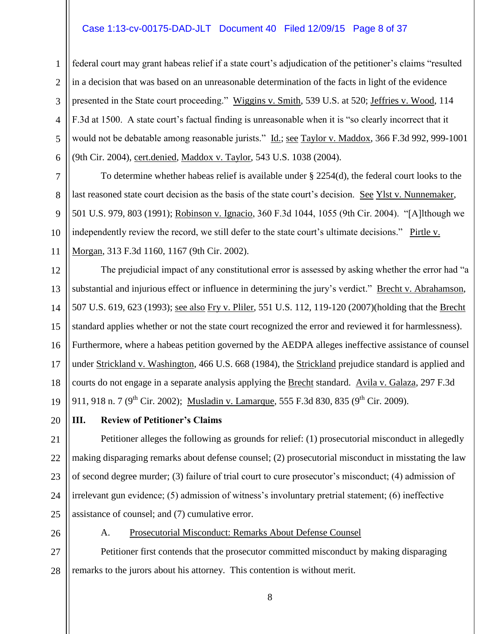### Case 1:13-cv-00175-DAD-JLT Document 40 Filed 12/09/15 Page 8 of 37

federal court may grant habeas relief if a state court's adjudication of the petitioner's claims "resulted in a decision that was based on an unreasonable determination of the facts in light of the evidence presented in the State court proceeding." Wiggins v. Smith, 539 U.S. at 520; Jeffries v. Wood, 114 F.3d at 1500. A state court's factual finding is unreasonable when it is "so clearly incorrect that it would not be debatable among reasonable jurists." Id.; see Taylor v. Maddox, 366 F.3d 992, 999-1001 (9th Cir. 2004), cert.denied, Maddox v. Taylor, 543 U.S. 1038 (2004).

To determine whether habeas relief is available under § 2254(d), the federal court looks to the last reasoned state court decision as the basis of the state court's decision. See Ylst v. Nunnemaker, 501 U.S. 979, 803 (1991); Robinson v. Ignacio, 360 F.3d 1044, 1055 (9th Cir. 2004). "[A]lthough we independently review the record, we still defer to the state court's ultimate decisions." Pirtle v. Morgan, 313 F.3d 1160, 1167 (9th Cir. 2002).

12 13 14 15 16 17 18 19 The prejudicial impact of any constitutional error is assessed by asking whether the error had "a substantial and injurious effect or influence in determining the jury's verdict." Brecht v. Abrahamson, 507 U.S. 619, 623 (1993); see also Fry v. Pliler, 551 U.S. 112, 119-120 (2007)(holding that the Brecht standard applies whether or not the state court recognized the error and reviewed it for harmlessness). Furthermore, where a habeas petition governed by the AEDPA alleges ineffective assistance of counsel under Strickland v. Washington, 466 U.S. 668 (1984), the Strickland prejudice standard is applied and courts do not engage in a separate analysis applying the Brecht standard. Avila v. Galaza, 297 F.3d 911, 918 n. 7 (9<sup>th</sup> Cir. 2002); Musladin v. Lamarque, 555 F.3d 830, 835 (9<sup>th</sup> Cir. 2009).

20

1

2

3

4

5

6

7

8

 $\mathbf{Q}$ 

10

11

### **III. Review of Petitioner's Claims**

21 22 23 24 25 Petitioner alleges the following as grounds for relief: (1) prosecutorial misconduct in allegedly making disparaging remarks about defense counsel; (2) prosecutorial misconduct in misstating the law of second degree murder; (3) failure of trial court to cure prosecutor's misconduct; (4) admission of irrelevant gun evidence; (5) admission of witness's involuntary pretrial statement; (6) ineffective assistance of counsel; and (7) cumulative error.

26

A. Prosecutorial Misconduct: Remarks About Defense Counsel

27 28 Petitioner first contends that the prosecutor committed misconduct by making disparaging remarks to the jurors about his attorney. This contention is without merit.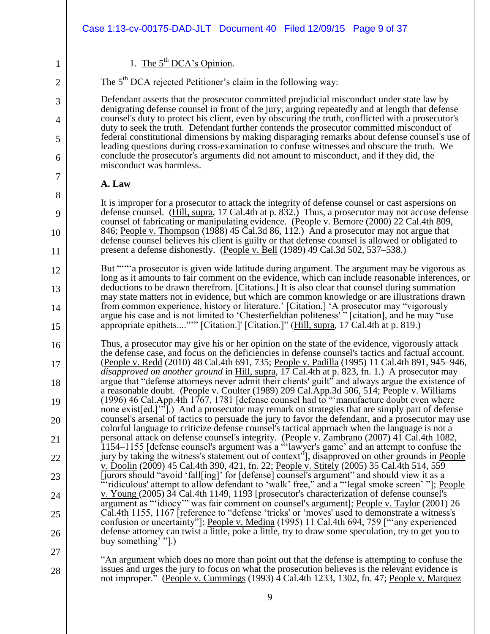|                | Case 1:13-cv-00175-DAD-JLT Document 40 Filed 12/09/15 Page 9 of 37                                                                                                                                                                                                                          |
|----------------|---------------------------------------------------------------------------------------------------------------------------------------------------------------------------------------------------------------------------------------------------------------------------------------------|
| 1              | 1. The $5^{th}$ DCA's Opinion.                                                                                                                                                                                                                                                              |
| $\overline{2}$ | The 5 <sup>th</sup> DCA rejected Petitioner's claim in the following way:                                                                                                                                                                                                                   |
| 3              | Defendant asserts that the prosecutor committed prejudicial misconduct under state law by<br>denigrating defense counsel in front of the jury, arguing repeatedly and at length that defense                                                                                                |
| 4              | counsel's duty to protect his client, even by obscuring the truth, conflicted with a prosecutor's<br>duty to seek the truth. Defendant further contends the prosecutor committed misconduct of                                                                                              |
| 5              | federal constitutional dimensions by making disparaging remarks about defense counsel's use of<br>leading questions during cross-examination to confuse witnesses and obscure the truth. We                                                                                                 |
| 6              | conclude the prosecutor's arguments did not amount to misconduct, and if they did, the<br>misconduct was harmless.                                                                                                                                                                          |
| 7              | A. Law                                                                                                                                                                                                                                                                                      |
| 8              | It is improper for a prosecutor to attack the integrity of defense counsel or cast aspersions on                                                                                                                                                                                            |
| 9              | defense counsel. (Hill, supra, 17 Cal.4th at p. 832.) Thus, a prosecutor may not accuse defense<br>counsel of fabricating or manipulating evidence. (People v. Bemore (2000) 22 Cal.4th 809,                                                                                                |
| 10             | 846; People v. Thompson (1988) 45 Cal.3d 86, 112.) And a prosecutor may not argue that<br>defense counsel believes his client is guilty or that defense counsel is allowed or obligated to                                                                                                  |
| 11             | present a defense dishonestly. (People v. Bell (1989) 49 Cal.3d 502, 537-538.)                                                                                                                                                                                                              |
| 12             | But ""a prosecutor is given wide latitude during argument. The argument may be vigorous as<br>long as it amounts to fair comment on the evidence, which can include reasonable inferences, or                                                                                               |
| 13             | deductions to be drawn therefrom. [Citations.] It is also clear that counsel during summation<br>may state matters not in evidence, but which are common knowledge or are illustrations drawn                                                                                               |
| 14             | from common experience, history or literature.' [Citation.] 'A prosecutor may "vigorously<br>argue his case and is not limited to 'Chesterfieldian politeness'" [citation], and he may "use                                                                                                 |
| 15             | appropriate epithets""" [Citation.]' [Citation.]" (Hill, supra, 17 Cal.4th at p. 819.)                                                                                                                                                                                                      |
| 16             | Thus, a prosecutor may give his or her opinion on the state of the evidence, vigorously attack<br>the defense case, and focus on the deficiencies in defense counsel's tactics and factual account.                                                                                         |
| 17             | <u>(People v. Redd</u> (2010) 48 Cal.4th 691, 735; <u>People v. Padilla</u> (1995) 11 Cal.4th 891, 945–946,<br>disapproved on another ground in Hill, supra, 17 Cal.4th at p. 823, fn. 1.) A prosecutor may                                                                                 |
| 18             | argue that "defense attorneys never admit their clients' guilt" and always argue the existence of<br>a reasonable doubt. (People v. Coulter (1989) 209 Cal.App.3d 506, 514; People v. Williams                                                                                              |
| 19             | $(1996)$ 46 Cal. App. 4th 1767, 1781 [defense counsel had to "manufacture doubt even where<br>none exist [ed.]"].) And a prosecutor may remark on strategies that are simply part of defense                                                                                                |
| 20             | counsel's arsenal of tactics to persuade the jury to favor the defendant, and a prosecutor may use<br>colorful language to criticize defense counsel's tactical approach when the language is not a                                                                                         |
| 21             | personal attack on defense counsel's integrity. (People v. Zambrano (2007) 41 Cal.4th 1082,<br>1154–1155 [defense counsel's argument was a "lawyer's game' and an attempt to confuse the                                                                                                    |
| 22             | jury by taking the witness's statement out of context"], disapproved on other grounds in People<br>v. Doolin (2009) 45 Cal.4th 390, 421, fn. 22; People v. Stitely (2005) 35 Cal.4th 514, 559                                                                                               |
| 23             | [jurors should "avoid 'fall[ing]' for [defense] counsel's argument" and should view it as a<br>ridiculous' attempt to allow defendant to 'walk' free," and a "'legal smoke screen' "]; People                                                                                               |
| 24             | y. Young (2005) 34 Cal.4th 1149, 1193 [prosecutor's characterization of defense counsel's<br>argument as "idiocy" was fair comment on counsel's argument]; People v. Taylor (2001) 26                                                                                                       |
| 25             | Cal.4th 1155, 1167 [reference to "defense 'tricks' or 'moves' used to demonstrate a witness's<br>confusion or uncertainty"]; People v. Medina (1995) 11 Cal.4th 694, 759 ["any experienced                                                                                                  |
| 26             | defense attorney can twist a little, poke a little, try to draw some speculation, try to get you to<br>buy something <sup>3</sup> "[.)                                                                                                                                                      |
| 27             |                                                                                                                                                                                                                                                                                             |
| 28             | An argument which does no more than point out that the defense is attempting to confuse the<br>issues and urges the jury to focus on what the prosecution believes is the relevant evidence is<br>not improper." (People v. Cummings (1993) 4 Cal.4th 1233, 1302, fn. 47; People v. Marquez |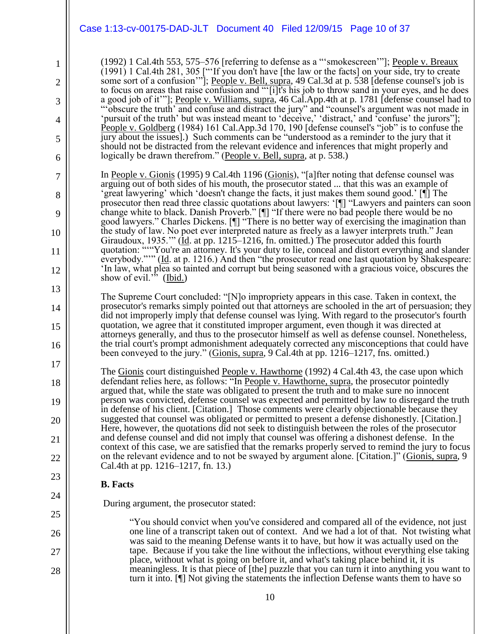|                                     | Case 1:13-cv-00175-DAD-JLT Document 40 Filed 12/09/15 Page 10 of 37                                                                                                                                                                                                                                                                                                                                                                                                                                                                                                                                                                                                                                                                                                                                                                                                                                                                                                                                                                                                                                                                |
|-------------------------------------|------------------------------------------------------------------------------------------------------------------------------------------------------------------------------------------------------------------------------------------------------------------------------------------------------------------------------------------------------------------------------------------------------------------------------------------------------------------------------------------------------------------------------------------------------------------------------------------------------------------------------------------------------------------------------------------------------------------------------------------------------------------------------------------------------------------------------------------------------------------------------------------------------------------------------------------------------------------------------------------------------------------------------------------------------------------------------------------------------------------------------------|
| 1<br>2<br>3<br>4<br>5<br>6          | (1992) 1 Cal.4th 553, 575–576 [referring to defense as a "'smokescreen'"]; People v. Breaux<br>$(1991)$ 1 Cal.4th 281, 305 ["'If you don't have [the law or the facts] on your side, try to create<br>some sort of a confusion"]; People v. Bell, supra, 49 Cal.3d at p. 538 [defense counsel's job is<br>to focus on areas that raise confusion and "[i]t's his job to throw sand in your eyes, and he does<br>a good job of it"']; People v. Williams, supra, 46 Cal.App.4th at p. 1781 [defense counsel had to<br>obscure the truth' and confuse and distract the jury" and "counsel's argument was not made in<br>'pursuit of the truth' but was instead meant to 'deceive,' 'distract,' and 'confuse' the jurors''];<br>People v. Goldberg (1984) 161 Cal.App.3d 170, 190 [defense counsel's "job" is to confuse the<br>jury about the issues].) Such comments can be "understood as a reminder to the jury that it<br>should not be distracted from the relevant evidence and inferences that might properly and<br>logically be drawn therefrom." (People v. Bell, supra, at p. 538.)                                       |
| 7<br>8<br>9<br>10<br>11<br>12<br>13 | In People v. Gionis (1995) 9 Cal.4th 1196 (Gionis), "[a] fter noting that defense counsel was<br>arguing out of both sides of his mouth, the prosecutor stated  that this was an example of<br>'great lawyering' which 'doesn't change the facts, it just makes them sound good.' [[ The<br>prosecutor then read three classic quotations about lawyers: '[¶] "Lawyers and painters can soon<br>change white to black. Danish Proverb." [¶] "If there were no bad people there would be no<br>good lawyers." Charles Dickens. [¶] "There is no better way of exercising the imagination than<br>the study of law. No poet ever interpreted nature as freely as a lawyer interprets truth." Jean<br>Giraudoux, 1935." (Id. at pp. 1215–1216, fn. omitted.) The prosecutor added this fourth<br>quotation: ""You're an attorney. It's your duty to lie, conceal and distort everything and slander<br>everybody.""" (Id. at p. 1216.) And then "the prosecutor read one last quotation by Shakespeare:<br>'In law, what plea so tainted and corrupt but being seasoned with a gracious voice, obscures the<br>show of evil." (Ibid.) |
| 14<br>15<br>16                      | The Supreme Court concluded: "[N] o impropriety appears in this case. Taken in context, the<br>prosecutor's remarks simply pointed out that attorneys are schooled in the art of persuasion; they<br>did not improperly imply that defense counsel was lying. With regard to the prosecutor's fourth<br>quotation, we agree that it constituted improper argument, even though it was directed at<br>attorneys generally, and thus to the prosecutor himself as well as defense counsel. Nonetheless,<br>the trial court's prompt admonishment adequately corrected any misconceptions that could have<br>been conveyed to the jury." (Gionis, supra, 9 Cal.4th at pp. 1216–1217, fns. omitted.)                                                                                                                                                                                                                                                                                                                                                                                                                                   |
| 17<br>18<br>19<br>20<br>21<br>22    | The Gionis court distinguished People v. Hawthorne (1992) 4 Cal.4th 43, the case upon which<br>defendant relies here, as follows: "In People v. Hawthorne, supra, the prosecutor pointedly<br>argued that, while the state was obligated to present the truth and to make sure no innocent<br>person was convicted, defense counsel was expected and permitted by law to disregard the truth<br>in defense of his client. [Citation.] Those comments were clearly objectionable because they<br>suggested that counsel was obligated or permitted to present a defense dishonestly. [Citation.]<br>Here, however, the quotations did not seek to distinguish between the roles of the prosecutor<br>and defense counsel and did not imply that counsel was offering a dishonest defense. In the<br>context of this case, we are satisfied that the remarks properly served to remind the jury to focus<br>on the relevant evidence and to not be swayed by argument alone. [Citation.]" (Gionis, supra, 9<br>Cal.4th at pp. 1216–1217, fn. 13.)                                                                                    |
| 23<br>24                            | <b>B.</b> Facts                                                                                                                                                                                                                                                                                                                                                                                                                                                                                                                                                                                                                                                                                                                                                                                                                                                                                                                                                                                                                                                                                                                    |
| 25                                  | During argument, the prosecutor stated:                                                                                                                                                                                                                                                                                                                                                                                                                                                                                                                                                                                                                                                                                                                                                                                                                                                                                                                                                                                                                                                                                            |
| 26                                  | "You should convict when you've considered and compared all of the evidence, not just<br>one line of a transcript taken out of context. And we had a lot of that. Not twisting what                                                                                                                                                                                                                                                                                                                                                                                                                                                                                                                                                                                                                                                                                                                                                                                                                                                                                                                                                |
| 27<br>28                            | was said to the meaning Defense wants it to have, but how it was actually used on the<br>tape. Because if you take the line without the inflections, without everything else taking<br>place, without what is going on before it, and what's taking place behind it, it is<br>meaningless. It is that piece of [the] puzzle that you can turn it into anything you want to                                                                                                                                                                                                                                                                                                                                                                                                                                                                                                                                                                                                                                                                                                                                                         |
|                                     | turn it into. $[\n{\text{}}\n{\text{}}\n{\text{}}\n{\text{}}\n{\text{}}\n{\text{}}\n{\text{}}\n{\text{}}\n{\text{}}\n{\text{}}\n{\text{}}\n{\text{}}\n{\text{}}\n{\text{}}\n{\text{}}\n{\text{}}\n{\text{}}\n{\text{}}\n{\text{}}\n{\text{}}\n{\text{}}\n{\text{}}\n{\text{}}\n{\text{}}\n{\text{}}\n{\text{}}\n{\text{}}\n{\text{}}\n{\text{}}\n{\text{}}\n{\text{}}\n{\text{}}\n{\text{}}\n{\text{}}\n$                                                                                                                                                                                                                                                                                                                                                                                                                                                                                                                                                                                                                                                                                                                          |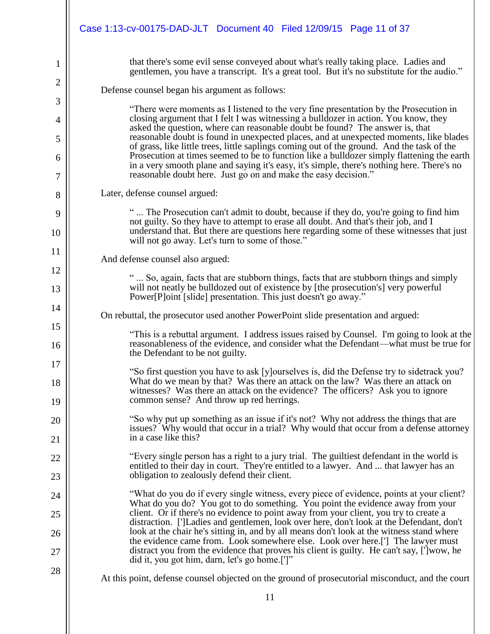|                | Case 1:13-cv-00175-DAD-JLT Document 40 Filed 12/09/15 Page 11 of 37                                                                                                                                                                                                                |
|----------------|------------------------------------------------------------------------------------------------------------------------------------------------------------------------------------------------------------------------------------------------------------------------------------|
| 1              | that there's some evil sense conveyed about what's really taking place. Ladies and<br>gentlemen, you have a transcript. It's a great tool. But it's no substitute for the audio."                                                                                                  |
| $\overline{2}$ | Defense counsel began his argument as follows:                                                                                                                                                                                                                                     |
| 3              | "There were moments as I listened to the very fine presentation by the Prosecution in                                                                                                                                                                                              |
| 4              | closing argument that I felt I was witnessing a bulldozer in action. You know, they<br>asked the question, where can reasonable doubt be found? The answer is, that                                                                                                                |
| 5              | reasonable doubt is found in unexpected places, and at unexpected moments, like blades<br>of grass, like little trees, little saplings coming out of the ground. And the task of the<br>Prosecution at times seemed to be to function like a bulldozer simply flattening the earth |
| 6<br>7         | in a very smooth plane and saying it's easy, it's simple, there's nothing here. There's no<br>reasonable doubt here. Just go on and make the easy decision."                                                                                                                       |
| 8              | Later, defense counsel argued:                                                                                                                                                                                                                                                     |
| 9<br>10        | " The Prosecution can't admit to doubt, because if they do, you're going to find him<br>not guilty. So they have to attempt to erase all doubt. And that's their job, and I<br>understand that. But there are questions here regarding some of these witnesses that just           |
|                | will not go away. Let's turn to some of those."                                                                                                                                                                                                                                    |
| 11<br>12       | And defense counsel also argued:                                                                                                                                                                                                                                                   |
| 13             | " So, again, facts that are stubborn things, facts that are stubborn things and simply<br>will not neatly be bulldozed out of existence by [the prosecution's] very powerful<br>Power[P]oint [slide] presentation. This just doesn't go away."                                     |
| 14             | On rebuttal, the prosecutor used another PowerPoint slide presentation and argued:                                                                                                                                                                                                 |
| 15<br>16       | "This is a rebuttal argument. I address issues raised by Counsel. I'm going to look at the<br>reasonableness of the evidence, and consider what the Defendant—what must be true for<br>the Defendant to be not guilty.                                                             |
| 17             |                                                                                                                                                                                                                                                                                    |
| 18             | "So first question you have to ask [y] ourselves is, did the Defense try to sidetrack you?"<br>What do we mean by that? Was there an attack on the law? Was there an attack on<br>witnesses? Was there an attack on the evidence? The officers? Ask you to ignore                  |
| 19             | common sense? And throw up red herrings.                                                                                                                                                                                                                                           |
| 20             | "So why put up something as an issue if it's not? Why not address the things that are<br>issues? Why would that occur in a trial? Why would that occur from a defense attorney                                                                                                     |
| 21             | in a case like this?                                                                                                                                                                                                                                                               |
| 22             | "Every single person has a right to a jury trial. The guiltiest defendant in the world is<br>entitled to their day in court. They're entitled to a lawyer. And  that lawyer has an                                                                                                 |
| 23             | obligation to zealously defend their client.                                                                                                                                                                                                                                       |
| 24             | "What do you do if every single witness, every piece of evidence, points at your client?<br>What do you do? You got to do something. You point the evidence away from your                                                                                                         |
| 25             | client. Or if there's no evidence to point away from your client, you try to create a<br>distraction. [']Ladies and gentlemen, look over here, don't look at the Defendant, don't                                                                                                  |
| 26             | look at the chair he's sitting in, and by all means don't look at the witness stand where<br>the evidence came from. Look somewhere else. Look over here.['] The lawyer must                                                                                                       |
| 27             | distract you from the evidence that proves his client is guilty. He can't say, [']wow, he<br>did it, you got him, darn, let's go home.[']"                                                                                                                                         |
| 28             | At this point, defense counsel objected on the ground of prosecutorial misconduct, and the court                                                                                                                                                                                   |
|                | 11                                                                                                                                                                                                                                                                                 |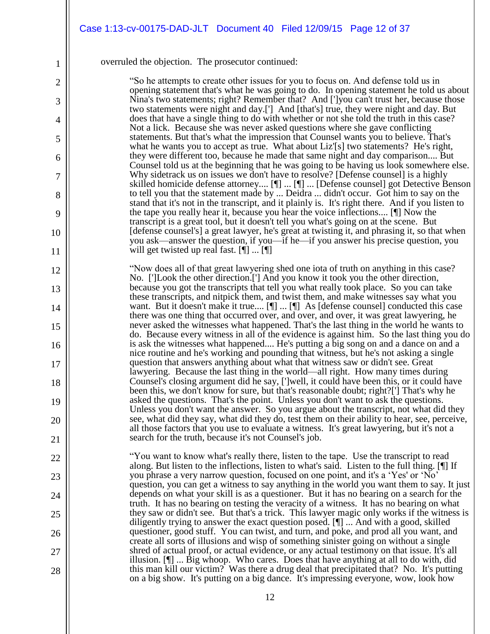### overruled the objection. The prosecutor continued:

1

2

3

4

5

6

7

8

9

10

11

12

13

14

15

16

17

18

19

20

21

22

23

24

25

26

27

28

"So he attempts to create other issues for you to focus on. And defense told us in opening statement that's what he was going to do. In opening statement he told us about Nina's two statements; right? Remember that? And [']you can't trust her, because those two statements were night and day.['] And [that's] true, they were night and day. But does that have a single thing to do with whether or not she told the truth in this case? Not a lick. Because she was never asked questions where she gave conflicting statements. But that's what the impression that Counsel wants you to believe. That's what he wants you to accept as true. What about Liz'[s] two statements? He's right, they were different too, because he made that same night and day comparison.... But Counsel told us at the beginning that he was going to be having us look somewhere else. Why sidetrack us on issues we don't have to resolve? [Defense counsel] is a highly skilled homicide defense attorney.... [¶] ... [¶] ... [Defense counsel] got Detective Benson to tell you that the statement made by ... Deidra ... didn't occur. Got him to say on the stand that it's not in the transcript, and it plainly is. It's right there. And if you listen to the tape you really hear it, because you hear the voice inflections.... [¶] Now the transcript is a great tool, but it doesn't tell you what's going on at the scene. But [defense counsel's] a great lawyer, he's great at twisting it, and phrasing it, so that when you ask—answer the question, if you—if he—if you answer his precise question, you will get twisted up real fast. [[] ... [[]]

"Now does all of that great lawyering shed one iota of truth on anything in this case? No. [']Look the other direction.['] And you know it took you the other direction, because you got the transcripts that tell you what really took place. So you can take these transcripts, and nitpick them, and twist them, and make witnesses say what you want. But it doesn't make it true.... [¶] ... [¶] As [defense counsel] conducted this case there was one thing that occurred over, and over, and over, it was great lawyering, he never asked the witnesses what happened. That's the last thing in the world he wants to do. Because every witness in all of the evidence is against him. So the last thing you do is ask the witnesses what happened.... He's putting a big song on and a dance on and a nice routine and he's working and pounding that witness, but he's not asking a single question that answers anything about what that witness saw or didn't see. Great lawyering. Because the last thing in the world—all right. How many times during Counsel's closing argument did he say, [']well, it could have been this, or it could have been this, we don't know for sure, but that's reasonable doubt; right?['] That's why he asked the questions. That's the point. Unless you don't want to ask the questions. Unless you don't want the answer. So you argue about the transcript, not what did they see, what did they say, what did they do, test them on their ability to hear, see, perceive, all those factors that you use to evaluate a witness. It's great lawyering, but it's not a search for the truth, because it's not Counsel's job.

"You want to know what's really there, listen to the tape. Use the transcript to read along. But listen to the inflections, listen to what's said. Listen to the full thing. [¶] If you phrase a very narrow question, focused on one point, and it's a 'Yes' or 'No' question, you can get a witness to say anything in the world you want them to say. It just depends on what your skill is as a questioner. But it has no bearing on a search for the truth. It has no bearing on testing the veracity of a witness. It has no bearing on what they saw or didn't see. But that's a trick. This lawyer magic only works if the witness is diligently trying to answer the exact question posed. [¶] ... And with a good, skilled questioner, good stuff. You can twist, and turn, and poke, and prod all you want, and create all sorts of illusions and wisp of something sinister going on without a single shred of actual proof, or actual evidence, or any actual testimony on that issue. It's all illusion. [¶] ... Big whoop. Who cares. Does that have anything at all to do with, did this man kill our victim? Was there a drug deal that precipitated that? No. It's putting on a big show. It's putting on a big dance. It's impressing everyone, wow, look how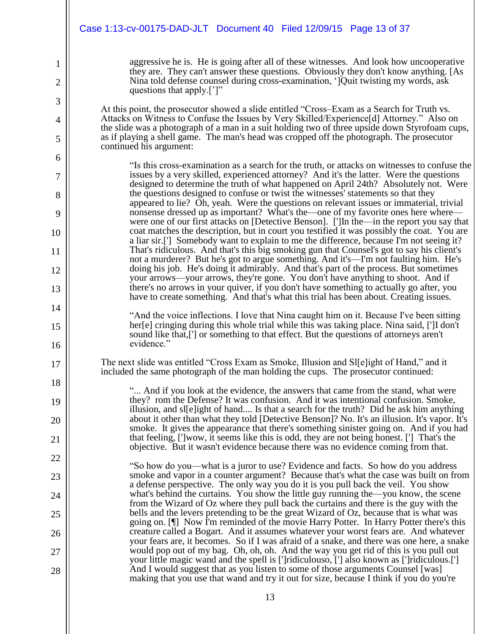|                | Case 1:13-cv-00175-DAD-JLT Document 40 Filed 12/09/15 Page 13 of 37                                                                                                                                                                                                                        |
|----------------|--------------------------------------------------------------------------------------------------------------------------------------------------------------------------------------------------------------------------------------------------------------------------------------------|
|                |                                                                                                                                                                                                                                                                                            |
| 1              | aggressive he is. He is going after all of these witnesses. And look how uncooperative<br>they are. They can't answer these questions. Obviously they don't know anything. [As                                                                                                             |
| $\overline{2}$ | Nina told defense counsel during cross-examination, 'lQuit twisting my words, ask<br>questions that apply.[']"                                                                                                                                                                             |
| 3              |                                                                                                                                                                                                                                                                                            |
| $\overline{4}$ | At this point, the prosecutor showed a slide entitled "Cross-Exam as a Search for Truth vs.<br>Attacks on Witness to Confuse the Issues by Very Skilled/Experience[d] Attorney." Also on<br>the slide was a photograph of a man in a suit holding two of three upside down Styrofoam cups, |
| 5              | as if playing a shell game. The man's head was cropped off the photograph. The prosecutor<br>continued his argument:                                                                                                                                                                       |
| 6              | "Is this cross-examination as a search for the truth, or attacks on witnesses to confuse the                                                                                                                                                                                               |
| 7              | issues by a very skilled, experienced attorney? And it's the latter. Were the questions<br>designed to determine the truth of what happened on April 24th? Absolutely not. Were                                                                                                            |
| 8              | the questions designed to confuse or twist the witnesses' statements so that they<br>appeared to lie? Oh, yeah. Were the questions on relevant issues or immaterial, trivial                                                                                                               |
| 9              | nonsense dressed up as important? What's the—one of my favorite ones here where—<br>were one of our first attacks on [Detective Benson]. [']In the-in the report you say that                                                                                                              |
| 10             | coat matches the description, but in court you testified it was possibly the coat. You are<br>a liar sir.['] Somebody want to explain to me the difference, because I'm not seeing it?                                                                                                     |
| 11             | That's ridiculous. And that's this big smoking gun that Counsel's got to say his client's<br>not a murderer? But he's got to argue something. And it's-I'm not faulting him. He's                                                                                                          |
| 12             | doing his job. He's doing it admirably. And that's part of the process. But sometimes<br>your arrows—your arrows, they're gone. You don't have anything to shoot. And if                                                                                                                   |
| 13             | there's no arrows in your quiver, if you don't have something to actually go after, you<br>have to create something. And that's what this trial has been about. Creating issues.                                                                                                           |
| 14             | "And the voice inflections. I love that Nina caught him on it. Because I've been sitting                                                                                                                                                                                                   |
| 15             | her[e] cringing during this whole trial while this was taking place. Nina said, [']I don't<br>sound like that,['] or something to that effect. But the questions of attorneys aren't                                                                                                       |
| 16             | evidence."                                                                                                                                                                                                                                                                                 |
| 17             | The next slide was entitled "Cross Exam as Smoke, Illusion and Sl[e]ight of Hand," and it<br>included the same photograph of the man holding the cups. The prosecutor continued:                                                                                                           |
| 18             | " And if you look at the evidence, the answers that came from the stand, what were                                                                                                                                                                                                         |
| 19             | they? rom the Defense? It was confusion. And it was intentional confusion. Smoke,<br>illusion, and sl[e]ight of hand Is that a search for the truth? Did he ask him anything                                                                                                               |
| 20             | about it other than what they told [Detective Benson]? No. It's an illusion. It's vapor. It's<br>smoke. It gives the appearance that there's something sinister going on. And if you had                                                                                                   |
| 21             | that feeling, ['] wow, it seems like this is odd, they are not being honest. ['] That's the<br>objective. But it wasn't evidence because there was no evidence coming from that.                                                                                                           |
| 22             | "So how do you—what is a juror to use? Evidence and facts. So how do you address                                                                                                                                                                                                           |
| 23             | smoke and vapor in a counter argument? Because that's what the case was built on from<br>a defense perspective. The only way you do it is you pull back the veil. You show                                                                                                                 |
| 24             | what's behind the curtains. You show the little guy running the—you know, the scene<br>from the Wizard of Oz where they pull back the curtains and there is the guy with the                                                                                                               |
| 25             | bells and the levers pretending to be the great Wizard of Oz, because that is what was<br>going on. [1] Now I'm reminded of the movie Harry Potter. In Harry Potter there's this                                                                                                           |
| 26             | creature called a Bogart. And it assumes whatever your worst fears are. And whatever<br>your fears are, it becomes. So if I was afraid of a snake, and there was one here, a snake                                                                                                         |
| 27             | would pop out of my bag. Oh, oh, oh. And the way you get rid of this is you pull out<br>your little magic wand and the spell is [']ridiculouso, ['] also known as [']ridiculous.[']                                                                                                        |
| 28             | And I would suggest that as you listen to some of those arguments Counsel [was]<br>making that you use that wand and try it out for size, because I think if you do you're                                                                                                                 |
|                |                                                                                                                                                                                                                                                                                            |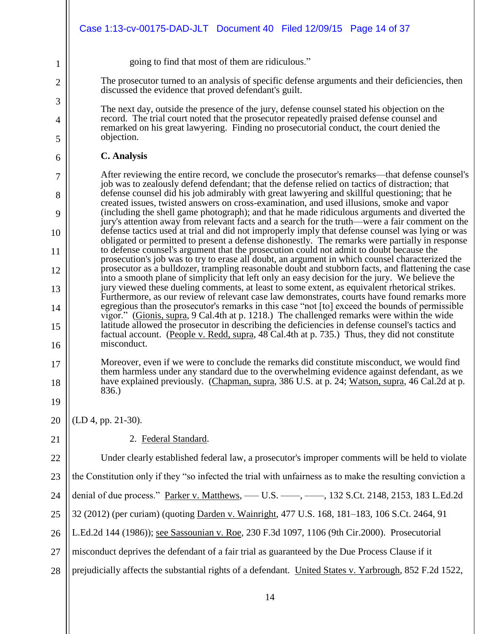|                | Case 1:13-cv-00175-DAD-JLT Document 40 Filed 12/09/15 Page 14 of 37                                                                                                                                             |
|----------------|-----------------------------------------------------------------------------------------------------------------------------------------------------------------------------------------------------------------|
| 1              | going to find that most of them are ridiculous."                                                                                                                                                                |
| $\overline{2}$ | The prosecutor turned to an analysis of specific defense arguments and their deficiencies, then<br>discussed the evidence that proved defendant's guilt.                                                        |
| 3              | The next day, outside the presence of the jury, defense counsel stated his objection on the                                                                                                                     |
| 4<br>5         | record. The trial court noted that the prosecutor repeatedly praised defense counsel and<br>remarked on his great lawyering. Finding no prosecutorial conduct, the court denied the<br>objection.               |
| 6              | <b>C.</b> Analysis                                                                                                                                                                                              |
| 7              | After reviewing the entire record, we conclude the prosecutor's remarks—that defense counsel's<br>job was to zealously defend defendant; that the defense relied on tactics of distraction; that                |
| 8              | defense counsel did his job admirably with great lawyering and skillful questioning; that he<br>created issues, twisted answers on cross-examination, and used illusions, smoke and vapor                       |
| 9              | (including the shell game photograph); and that he made ridiculous arguments and diverted the<br>jury's attention away from relevant facts and a search for the truth—were a fair comment on the                |
| 10             | defense tactics used at trial and did not improperly imply that defense counsel was lying or was<br>obligated or permitted to present a defense dishonestly. The remarks were partially in response             |
| 11             | to defense counsel's argument that the prosecution could not admit to doubt because the<br>prosecution's job was to try to erase all doubt, an argument in which counsel characterized the                      |
| 12             | prosecutor as a bulldozer, trampling reasonable doubt and stubborn facts, and flattening the case<br>into a smooth plane of simplicity that left only an easy decision for the jury. We believe the             |
| 13             | jury viewed these dueling comments, at least to some extent, as equivalent rhetorical strikes.<br>Furthermore, as our review of relevant case law demonstrates, courts have found remarks more                  |
| 14             | egregious than the prosecutor's remarks in this case "not [to] exceed the bounds of permissible<br>vigor." (Gionis, supra, 9 Cal.4th at p. 1218.) The challenged remarks were within the wide                   |
| 15<br>16       | latitude allowed the prosecutor in describing the deficiencies in defense counsel's tactics and<br>factual account. (People v. Redd, supra, 48 Cal.4th at p. 735.) Thus, they did not constitute<br>misconduct. |
| 17             | Moreover, even if we were to conclude the remarks did constitute misconduct, we would find                                                                                                                      |
| 18             | them harmless under any standard due to the overwhelming evidence against defendant, as we<br>have explained previously. (Chapman, supra, 386 U.S. at p. 24; Watson, supra, 46 Cal.2d at p.                     |
| 19             | 836.)                                                                                                                                                                                                           |
| 20             | $(LD 4, pp. 21-30).$                                                                                                                                                                                            |
| 21             | 2. Federal Standard.                                                                                                                                                                                            |
| 22             | Under clearly established federal law, a prosecutor's improper comments will be held to violate                                                                                                                 |
| 23             | the Constitution only if they "so infected the trial with unfairness as to make the resulting conviction a                                                                                                      |
| 24             | denial of due process." Parker v. Matthews, — U.S. — , — , 132 S.Ct. 2148, 2153, 183 L.Ed.2d                                                                                                                    |
| 25             | 32 (2012) (per curiam) (quoting Darden v. Wainright, 477 U.S. 168, 181–183, 106 S.Ct. 2464, 91                                                                                                                  |
| 26             | L.Ed.2d 144 (1986)); see Sassounian v. Roe, 230 F.3d 1097, 1106 (9th Cir.2000). Prosecutorial                                                                                                                   |
| 27             | misconduct deprives the defendant of a fair trial as guaranteed by the Due Process Clause if it                                                                                                                 |
| 28             | prejudicially affects the substantial rights of a defendant. United States v. Yarbrough, 852 F.2d 1522,                                                                                                         |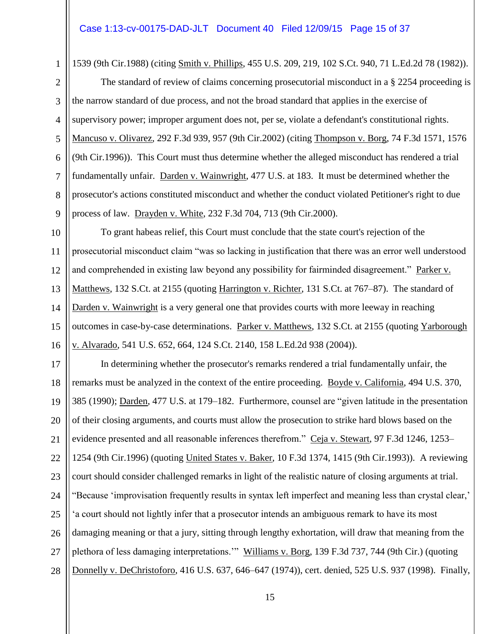### Case 1:13-cv-00175-DAD-JLT Document 40 Filed 12/09/15 Page 15 of 37

1539 (9th Cir.1988) (citing Smith v. Phillips, 455 U.S. 209, 219, 102 S.Ct. 940, 71 L.Ed.2d 78 (1982)).

The standard of review of claims concerning prosecutorial misconduct in a § 2254 proceeding is the narrow standard of due process, and not the broad standard that applies in the exercise of supervisory power; improper argument does not, per se, violate a defendant's constitutional rights. Mancuso v. Olivarez, 292 F.3d 939, 957 (9th Cir.2002) (citing Thompson v. Borg, 74 F.3d 1571, 1576 (9th Cir.1996)). This Court must thus determine whether the alleged misconduct has rendered a trial fundamentally unfair. Darden v. Wainwright, 477 U.S. at 183. It must be determined whether the prosecutor's actions constituted misconduct and whether the conduct violated Petitioner's right to due process of law. Drayden v. White, 232 F.3d 704, 713 (9th Cir.2000).

To grant habeas relief, this Court must conclude that the state court's rejection of the prosecutorial misconduct claim "was so lacking in justification that there was an error well understood and comprehended in existing law beyond any possibility for fairminded disagreement." Parker v. Matthews, 132 S.Ct. at 2155 (quoting Harrington v. Richter, 131 S.Ct. at 767–87). The standard of Darden v. Wainwright is a very general one that provides courts with more leeway in reaching outcomes in case-by-case determinations. Parker v. Matthews, 132 S.Ct. at 2155 (quoting Yarborough v. Alvarado, 541 U.S. 652, 664, 124 S.Ct. 2140, 158 L.Ed.2d 938 (2004)).

25 26 27 28 In determining whether the prosecutor's remarks rendered a trial fundamentally unfair, the remarks must be analyzed in the context of the entire proceeding. Boyde v. California, 494 U.S. 370, 385 (1990); Darden, 477 U.S. at 179–182. Furthermore, counsel are "given latitude in the presentation of their closing arguments, and courts must allow the prosecution to strike hard blows based on the evidence presented and all reasonable inferences therefrom." Ceja v. Stewart, 97 F.3d 1246, 1253– 1254 (9th Cir.1996) (quoting United States v. Baker, 10 F.3d 1374, 1415 (9th Cir.1993)). A reviewing court should consider challenged remarks in light of the realistic nature of closing arguments at trial. "Because 'improvisation frequently results in syntax left imperfect and meaning less than crystal clear,' 'a court should not lightly infer that a prosecutor intends an ambiguous remark to have its most damaging meaning or that a jury, sitting through lengthy exhortation, will draw that meaning from the plethora of less damaging interpretations." Williams v. Borg, 139 F.3d 737, 744 (9th Cir.) (quoting Donnelly v. DeChristoforo, 416 U.S. 637, 646–647 (1974)), cert. denied, 525 U.S. 937 (1998). Finally,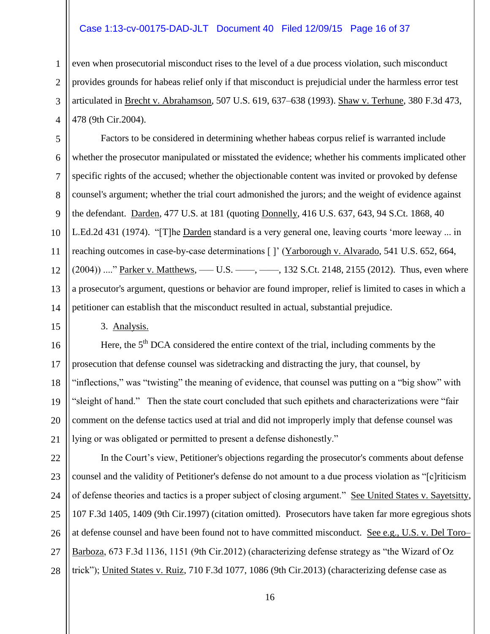### Case 1:13-cv-00175-DAD-JLT Document 40 Filed 12/09/15 Page 16 of 37

even when prosecutorial misconduct rises to the level of a due process violation, such misconduct provides grounds for habeas relief only if that misconduct is prejudicial under the harmless error test articulated in Brecht v. Abrahamson, 507 U.S. 619, 637–638 (1993). Shaw v. Terhune, 380 F.3d 473, 478 (9th Cir.2004).

 $\mathbf{Q}$ 10 12 14 Factors to be considered in determining whether habeas corpus relief is warranted include whether the prosecutor manipulated or misstated the evidence; whether his comments implicated other specific rights of the accused; whether the objectionable content was invited or provoked by defense counsel's argument; whether the trial court admonished the jurors; and the weight of evidence against the defendant. Darden, 477 U.S. at 181 (quoting Donnelly, 416 U.S. 637, 643, 94 S.Ct. 1868, 40 L.Ed.2d 431 (1974). "[T]he Darden standard is a very general one, leaving courts 'more leeway ... in reaching outcomes in case-by-case determinations [ ]' (Yarborough v. Alvarado, 541 U.S. 652, 664,  $(2004))$  ...." Parker v. Matthews, — U.S. — ,  $\rightarrow$  , 132 S.Ct. 2148, 2155 (2012). Thus, even where a prosecutor's argument, questions or behavior are found improper, relief is limited to cases in which a petitioner can establish that the misconduct resulted in actual, substantial prejudice.

3. Analysis.

1

2

3

4

5

6

7

8

11

13

15

16 17 18 19 20 21 Here, the  $5<sup>th</sup> DCA$  considered the entire context of the trial, including comments by the prosecution that defense counsel was sidetracking and distracting the jury, that counsel, by "inflections," was "twisting" the meaning of evidence, that counsel was putting on a "big show" with "sleight of hand." Then the state court concluded that such epithets and characterizations were "fair comment on the defense tactics used at trial and did not improperly imply that defense counsel was lying or was obligated or permitted to present a defense dishonestly."

22 23 24 25 26 27 28 In the Court's view, Petitioner's objections regarding the prosecutor's comments about defense counsel and the validity of Petitioner's defense do not amount to a due process violation as "[c]riticism of defense theories and tactics is a proper subject of closing argument." See United States v. Sayetsitty, 107 F.3d 1405, 1409 (9th Cir.1997) (citation omitted). Prosecutors have taken far more egregious shots at defense counsel and have been found not to have committed misconduct. See e.g., U.S. v. Del Toro– Barboza, 673 F.3d 1136, 1151 (9th Cir.2012) (characterizing defense strategy as "the Wizard of Oz trick"); United States v. Ruiz, 710 F.3d 1077, 1086 (9th Cir.2013) (characterizing defense case as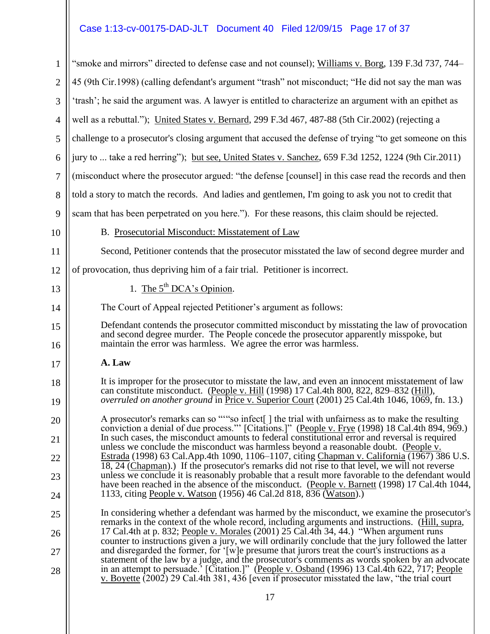# Case 1:13-cv-00175-DAD-JLT Document 40 Filed 12/09/15 Page 17 of 37

| $\mathbf{1}$   | "smoke and mirrors" directed to defense case and not counsel); Williams v. Borg, 139 F.3d 737, 744–                                                                                                                                                                                             |
|----------------|-------------------------------------------------------------------------------------------------------------------------------------------------------------------------------------------------------------------------------------------------------------------------------------------------|
| $\overline{2}$ | 45 (9th Cir.1998) (calling defendant's argument "trash" not misconduct; "He did not say the man was                                                                                                                                                                                             |
| 3              | 'trash'; he said the argument was. A lawyer is entitled to characterize an argument with an epithet as                                                                                                                                                                                          |
| $\overline{4}$ | well as a rebuttal."); United States v. Bernard, 299 F.3d 467, 487-88 (5th Cir.2002) (rejecting a                                                                                                                                                                                               |
| 5              | challenge to a prosecutor's closing argument that accused the defense of trying "to get someone on this                                                                                                                                                                                         |
| 6              | jury to  take a red herring"); but see, United States v. Sanchez, 659 F.3d 1252, 1224 (9th Cir.2011)                                                                                                                                                                                            |
| 7              | (misconduct where the prosecutor argued: "the defense [counsel] in this case read the records and then                                                                                                                                                                                          |
| 8              | told a story to match the records. And ladies and gentlemen, I'm going to ask you not to credit that                                                                                                                                                                                            |
| 9              | scam that has been perpetrated on you here."). For these reasons, this claim should be rejected.                                                                                                                                                                                                |
| 10             | B. Prosecutorial Misconduct: Misstatement of Law                                                                                                                                                                                                                                                |
| 11             | Second, Petitioner contends that the prosecutor misstated the law of second degree murder and                                                                                                                                                                                                   |
| 12             | of provocation, thus depriving him of a fair trial. Petitioner is incorrect.                                                                                                                                                                                                                    |
| 13             | 1. The $5^{th}$ DCA's Opinion.                                                                                                                                                                                                                                                                  |
| 14             | The Court of Appeal rejected Petitioner's argument as follows:                                                                                                                                                                                                                                  |
| 15<br>16       | Defendant contends the prosecutor committed misconduct by misstating the law of provocation<br>and second degree murder. The People concede the prosecutor apparently misspoke, but<br>maintain the error was harmless. We agree the error was harmless.                                        |
| 17             | A. Law                                                                                                                                                                                                                                                                                          |
| 18<br>19       | It is improper for the prosecutor to misstate the law, and even an innocent misstatement of law<br>can constitute misconduct. (People v. Hill (1998) 17 Cal.4th 800, 822, 829–832 (Hill),<br>overruled on another ground in Price v. Superior Court (2001) 25 Cal.4th 1046, 1069, fn. 13.)      |
| 20             | A prosecutor's remarks can so ""so infect[] the trial with unfairness as to make the resulting                                                                                                                                                                                                  |
| 21             | conviction a denial of due process." [Citations.]" (People v. Frye (1998) 18 Cal.4th 894, 969.)<br>In such cases, the misconduct amounts to federal constitutional error and reversal is required                                                                                               |
| 22             | unless we conclude the misconduct was harmless beyond a reasonable doubt. (People v.<br>Estrada (1998) 63 Cal.App.4th 1090, 1106–1107, citing Chapman v. California (1967) 386 U.S.                                                                                                             |
| 23             | 18, 24 (Chapman).) If the prosecutor's remarks did not rise to that level, we will not reverse<br>unless we conclude it is reasonably probable that a result more favorable to the defendant would                                                                                              |
| 24             | have been reached in the absence of the misconduct. (People v. Barnett (1998) 17 Cal.4th 1044,<br>1133, citing People v. Watson (1956) 46 Cal. 2d 818, 836 (Watson).                                                                                                                            |
| 25             | In considering whether a defendant was harmed by the misconduct, we examine the prosecutor's                                                                                                                                                                                                    |
| 26             | remarks in the context of the whole record, including arguments and instructions. (Hill, supra,<br>17 Cal.4th at p. 832; People v. Morales (2001) 25 Cal.4th 34, 44.) "When argument runs                                                                                                       |
| 27             | counter to instructions given a jury, we will ordinarily conclude that the jury followed the latter<br>and disregarded the former, for '[w] e presume that jurors treat the court's instructions as a                                                                                           |
| 28             | statement of the law by a judge, and the prosecutor's comments as words spoken by an advocate<br>in an attempt to persuade.' [Citation.]" (People v. Osband (1996) 13 Cal.4th 622, 717; People<br>v. Boyette (2002) 29 Cal.4th 381, 436 [even if prosecutor misstated the law, "the trial court |
|                |                                                                                                                                                                                                                                                                                                 |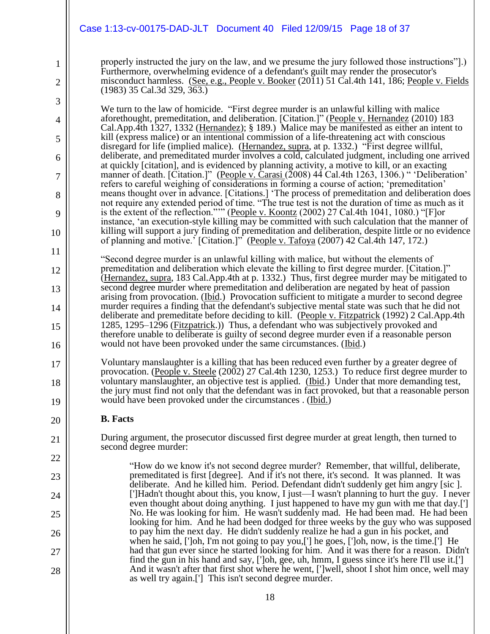### Case 1:13-cv-00175-DAD-JLT Document 40 Filed 12/09/15 Page 18 of 37

properly instructed the jury on the law, and we presume the jury followed those instructions"].) Furthermore, overwhelming evidence of a defendant's guilt may render the prosecutor's misconduct harmless. (See, e.g., People v. Booker (2011) 51 Cal.4th 141, 186; People v. Fields (1983) 35 Cal.3d 329, 363.)

We turn to the law of homicide. "First degree murder is an unlawful killing with malice aforethought, premeditation, and deliberation. [Citation.]" (People v. Hernandez (2010) 183 Cal.App.4th 1327, 1332 (Hernandez); § 189.) Malice may be manifested as either an intent to kill (express malice) or an intentional commission of a life-threatening act with conscious disregard for life (implied malice). (Hernandez, supra, at p. 1332.) "First degree willful, deliberate, and premeditated murder involves a cold, calculated judgment, including one arrived at quickly [citation], and is evidenced by planning activity, a motive to kill, or an exacting manner of death. [Citation.]" (People v. Carasi (2008) 44 Cal.4th 1263, 1306.) " 'Deliberation' refers to careful weighing of considerations in forming a course of action; 'premeditation' means thought over in advance. [Citations.] 'The process of premeditation and deliberation does not require any extended period of time. "The true test is not the duration of time as much as it is the extent of the reflection."'" (People v. Koontz (2002) 27 Cal.4th 1041, 1080.) "[F]or instance, 'an execution-style killing may be committed with such calculation that the manner of killing will support a jury finding of premeditation and deliberation, despite little or no evidence of planning and motive.' [Citation.]" (People v. Tafoya (2007) 42 Cal.4th 147, 172.)

"Second degree murder is an unlawful killing with malice, but without the elements of premeditation and deliberation which elevate the killing to first degree murder. [Citation.]" (Hernandez, supra, 183 Cal.App.4th at p. 1332.) Thus, first degree murder may be mitigated to second degree murder where premeditation and deliberation are negated by heat of passion arising from provocation. (Ibid.) Provocation sufficient to mitigate a murder to second degree murder requires a finding that the defendant's subjective mental state was such that he did not deliberate and premeditate before deciding to kill. (People v. Fitzpatrick (1992) 2 Cal.App.4th 1285, 1295–1296 (Fitzpatrick.)) Thus, a defendant who was subjectively provoked and therefore unable to deliberate is guilty of second degree murder even if a reasonable person would not have been provoked under the same circumstances. (Ibid.)

Voluntary manslaughter is a killing that has been reduced even further by a greater degree of provocation. (People v. Steele (2002) 27 Cal.4th 1230, 1253.) To reduce first degree murder to voluntary manslaughter, an objective test is applied. (Ibid.) Under that more demanding test, the jury must find not only that the defendant was in fact provoked, but that a reasonable person would have been provoked under the circumstances . (Ibid.)

### **B. Facts**

1

2

3

4

5

6

7

8

9

10

11

12

13

14

15

16

17

18

19

20

21

22

23

24

25

26

27

28

During argument, the prosecutor discussed first degree murder at great length, then turned to second degree murder:

"How do we know it's not second degree murder? Remember, that willful, deliberate, premeditated is first [degree]. And if it's not there, it's second. It was planned. It was deliberate. And he killed him. Period. Defendant didn't suddenly get him angry [sic ]. [']Hadn't thought about this, you know, I just—I wasn't planning to hurt the guy. I never even thought about doing anything. I just happened to have my gun with me that day.['] No. He was looking for him. He wasn't suddenly mad. He had been mad. He had been looking for him. And he had been dodged for three weeks by the guy who was supposed to pay him the next day. He didn't suddenly realize he had a gun in his pocket, and when he said, [']oh, I'm not going to pay you,['] he goes, [']oh, now, is the time.['] He had that gun ever since he started looking for him. And it was there for a reason. Didn't find the gun in his hand and say, [']oh, gee, uh, hmm, I guess since it's here I'll use it.['] And it wasn't after that first shot where he went, [']well, shoot I shot him once, well may as well try again.['] This isn't second degree murder.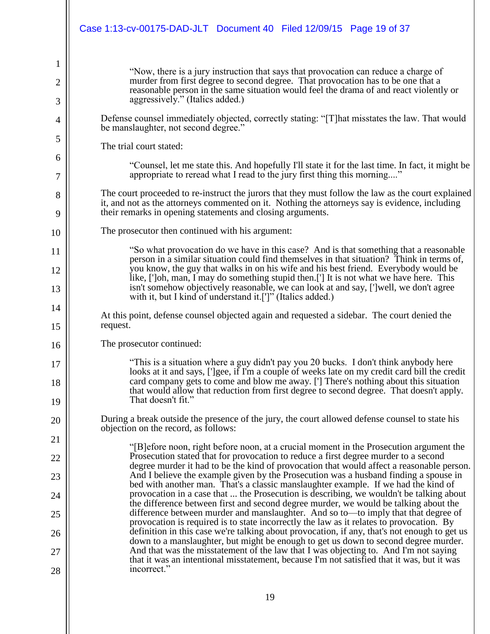|    | Case 1:13-cv-00175-DAD-JLT Document 40 Filed 12/09/15 Page 19 of 37                                                                                                                                                                                                       |
|----|---------------------------------------------------------------------------------------------------------------------------------------------------------------------------------------------------------------------------------------------------------------------------|
| 1  |                                                                                                                                                                                                                                                                           |
| 2  | "Now, there is a jury instruction that says that provocation can reduce a charge of<br>murder from first degree to second degree. That provocation has to be one that a                                                                                                   |
| 3  | reasonable person in the same situation would feel the drama of and react violently or<br>aggressively." (Italics added.)                                                                                                                                                 |
| 4  | Defense counsel immediately objected, correctly stating: "[T] hat misstates the law. That would<br>be manslaughter, not second degree."                                                                                                                                   |
| 5  | The trial court stated:                                                                                                                                                                                                                                                   |
| 6  | "Counsel, let me state this. And hopefully I'll state it for the last time. In fact, it might be                                                                                                                                                                          |
| 7  | appropriate to reread what I read to the jury first thing this morning"                                                                                                                                                                                                   |
| 8  | The court proceeded to re-instruct the jurors that they must follow the law as the court explained<br>it, and not as the attorneys commented on it. Nothing the attorneys say is evidence, including                                                                      |
| 9  | their remarks in opening statements and closing arguments.                                                                                                                                                                                                                |
| 10 | The prosecutor then continued with his argument:                                                                                                                                                                                                                          |
| 11 | "So what provocation do we have in this case? And is that something that a reasonable<br>person in a similar situation could find themselves in that situation? Think in terms of,                                                                                        |
| 12 | you know, the guy that walks in on his wife and his best friend. Everybody would be<br>like, [']oh, man, I may do something stupid then.['] It is not what we have here. This                                                                                             |
| 13 | isn't somehow objectively reasonable, we can look at and say, [']well, we don't agree<br>with it, but I kind of understand it.[']" (Italics added.)                                                                                                                       |
| 14 | At this point, defense counsel objected again and requested a sidebar. The court denied the                                                                                                                                                                               |
| 15 | request.                                                                                                                                                                                                                                                                  |
| 16 | The prosecutor continued:                                                                                                                                                                                                                                                 |
| 17 | "This is a situation where a guy didn't pay you 20 bucks. I don't think anybody here<br>looks at it and says, [']gee, if I'm a couple of weeks late on my credit card bill the credit                                                                                     |
| 18 | card company gets to come and blow me away. ['] There's nothing about this situation<br>that would allow that reduction from first degree to second degree. That doesn't apply.                                                                                           |
| 19 | That doesn't fit."                                                                                                                                                                                                                                                        |
| 20 | During a break outside the presence of the jury, the court allowed defense counsel to state his<br>objection on the record, as follows:                                                                                                                                   |
| 21 | "[B] efore noon, right before noon, at a crucial moment in the Prosecution argument the                                                                                                                                                                                   |
| 22 | Prosecution stated that for provocation to reduce a first degree murder to a second<br>degree murder it had to be the kind of provocation that would affect a reasonable person.                                                                                          |
| 23 | And I believe the example given by the Prosecution was a husband finding a spouse in<br>bed with another man. That's a classic manslaughter example. If we had the kind of                                                                                                |
| 24 | provocation in a case that  the Prosecution is describing, we wouldn't be talking about<br>the difference between first and second degree murder, we would be talking about the                                                                                           |
| 25 | difference between murder and manslaughter. And so to—to imply that that degree of<br>provocation is required is to state incorrectly the law as it relates to provocation. By                                                                                            |
| 26 | definition in this case we're talking about provocation, if any, that's not enough to get us                                                                                                                                                                              |
| 27 | down to a manslaughter, but might be enough to get us down to second degree murder.<br>And that was the misstatement of the law that I was objecting to. And I'm not saying<br>that it was an intentional misstatement, because I'm not satisfied that it was, but it was |
| 28 | incorrect."                                                                                                                                                                                                                                                               |
|    |                                                                                                                                                                                                                                                                           |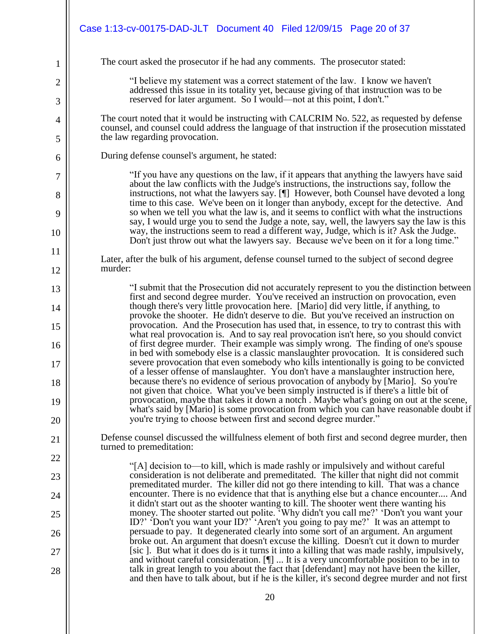|          | Case 1:13-cv-00175-DAD-JLT  Document 40  Filed 12/09/15  Page 20 of 37                                                                                                                                                                                                     |
|----------|----------------------------------------------------------------------------------------------------------------------------------------------------------------------------------------------------------------------------------------------------------------------------|
| 1        | The court asked the prosecutor if he had any comments. The prosecutor stated:                                                                                                                                                                                              |
| 2        | "I believe my statement was a correct statement of the law. I know we haven't                                                                                                                                                                                              |
| 3        | addressed this issue in its totality yet, because giving of that instruction was to be<br>reserved for later argument. So I would—not at this point, I don't."                                                                                                             |
| 4<br>5   | The court noted that it would be instructing with CALCRIM No. 522, as requested by defense<br>counsel, and counsel could address the language of that instruction if the prosecution misstated<br>the law regarding provocation.                                           |
| 6        | During defense counsel's argument, he stated:                                                                                                                                                                                                                              |
| 7        | "If you have any questions on the law, if it appears that anything the lawyers have said<br>about the law conflicts with the Judge's instructions, the instructions say, follow the                                                                                        |
| 8        | instructions, not what the lawyers say. [¶] However, both Counsel have devoted a long<br>time to this case. We've been on it longer than anybody, except for the detective. And                                                                                            |
| 9        | so when we tell you what the law is, and it seems to conflict with what the instructions<br>say, I would urge you to send the Judge a note, say, well, the lawyers say the law is this                                                                                     |
| 10       | way, the instructions seem to read a different way, Judge, which is it? Ask the Judge.<br>Don't just throw out what the lawyers say. Because we've been on it for a long time."                                                                                            |
| 11       | Later, after the bulk of his argument, defense counsel turned to the subject of second degree<br>murder:                                                                                                                                                                   |
| 12       |                                                                                                                                                                                                                                                                            |
| 13<br>14 | "I submit that the Prosecution did not accurately represent to you the distinction between<br>first and second degree murder. You've received an instruction on provocation, even<br>though there's very little provocation here. [Mario] did very little, if anything, to |
| 15       | provoke the shooter. He didn't deserve to die. But you've received an instruction on<br>provocation. And the Prosecution has used that, in essence, to try to contrast this with                                                                                           |
| 16       | what real provocation is. And to say real provocation isn't here, so you should convict<br>of first degree murder. Their example was simply wrong. The finding of one's spouse                                                                                             |
| 17       | in bed with somebody else is a classic manslaughter provocation. It is considered such<br>severe provocation that even somebody who kills intentionally is going to be convicted<br>of a lesser offense of manslaughter. You don't have a manslaughter instruction here,   |
| 18       | because there's no evidence of serious provocation of anybody by [Mario]. So you're<br>not given that choice. What you've been simply instructed is if there's a little bit of                                                                                             |
| 19       | provocation, maybe that takes it down a notch. Maybe what's going on out at the scene,<br>what's said by [Mario] is some provocation from which you can have reasonable doubt if                                                                                           |
| 20       | you're trying to choose between first and second degree murder."                                                                                                                                                                                                           |
| 21       | Defense counsel discussed the willfulness element of both first and second degree murder, then<br>turned to premeditation:                                                                                                                                                 |
| 22       | "[A] decision to—to kill, which is made rashly or impulsively and without careful                                                                                                                                                                                          |
| 23       | consideration is not deliberate and premeditated. The killer that night did not commit<br>premeditated murder. The killer did not go there intending to kill. That was a chance                                                                                            |
| 24       | encounter. There is no evidence that that is anything else but a chance encounter And<br>it didn't start out as the shooter wanting to kill. The shooter went there wanting his                                                                                            |
| 25       | money. The shooter started out polite. "Why didn't you call me?' 'Don't you want your<br>ID?' 'Don't you want your ID?' 'Aren't you going to pay me?' It was an attempt to                                                                                                 |
| 26       | persuade to pay. It degenerated clearly into some sort of an argument. An argument<br>broke out. An argument that doesn't excuse the killing. Doesn't cut it down to murder                                                                                                |
| 27       | [sic]. But what it does do is it turns it into a killing that was made rashly, impulsively,<br>and without careful consideration. $[\P]$ It is a very uncomfortable position to be in to                                                                                   |
| 28       | talk in great length to you about the fact that [defendant] may not have been the killer,<br>and then have to talk about, but if he is the killer, it's second degree murder and not first                                                                                 |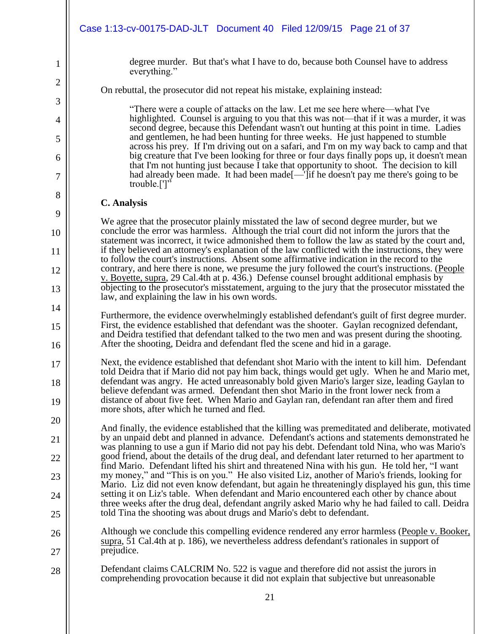|          | Case 1:13-cv-00175-DAD-JLT Document 40 Filed 12/09/15 Page 21 of 37                                                                                                                                                                                                                                                                |
|----------|------------------------------------------------------------------------------------------------------------------------------------------------------------------------------------------------------------------------------------------------------------------------------------------------------------------------------------|
| 1        | degree murder. But that's what I have to do, because both Counsel have to address<br>everything."                                                                                                                                                                                                                                  |
| 2        | On rebuttal, the prosecutor did not repeat his mistake, explaining instead:                                                                                                                                                                                                                                                        |
| 3        | "There were a couple of attacks on the law. Let me see here where—what I've                                                                                                                                                                                                                                                        |
| 4        | highlighted. Counsel is arguing to you that this was not-that if it was a murder, it was<br>second degree, because this Defendant wasn't out hunting at this point in time. Ladies                                                                                                                                                 |
| 5        | and gentlemen, he had been hunting for three weeks. He just happened to stumble<br>across his prey. If I'm driving out on a safari, and I'm on my way back to camp and that                                                                                                                                                        |
| 6<br>7   | big creature that I've been looking for three or four days finally pops up, it doesn't mean<br>that I'm not hunting just because I take that opportunity to shoot. The decision to kill<br>had already been made. It had been made [—Tif he doesn't pay me there's going to be                                                     |
| 8        | trouble.[']"                                                                                                                                                                                                                                                                                                                       |
| 9        | <b>C.</b> Analysis                                                                                                                                                                                                                                                                                                                 |
| 10       | We agree that the prosecutor plainly misstated the law of second degree murder, but we<br>conclude the error was harmless. Although the trial court did not inform the jurors that the                                                                                                                                             |
| 11       | statement was incorrect, it twice admonished them to follow the law as stated by the court and,<br>if they believed an attorney's explanation of the law conflicted with the instructions, they were                                                                                                                               |
| 12       | to follow the court's instructions. Absent some affirmative indication in the record to the<br>contrary, and here there is none, we presume the jury followed the court's instructions. (People                                                                                                                                    |
| 13       | v. Boyette, supra, 29 Cal.4th at p. 436.) Defense counsel brought additional emphasis by<br>objecting to the prosecutor's misstatement, arguing to the jury that the prosecutor misstated the                                                                                                                                      |
| 14       | law, and explaining the law in his own words.                                                                                                                                                                                                                                                                                      |
| 15       | Furthermore, the evidence overwhelmingly established defendant's guilt of first degree murder.<br>First, the evidence established that defendant was the shooter. Gaylan recognized defendant,<br>and Deidra testified that defendant talked to the two men and was present during the shooting.                                   |
| 16       | After the shooting, Deidra and defendant fled the scene and hid in a garage.                                                                                                                                                                                                                                                       |
| 17       | Next, the evidence established that defendant shot Mario with the intent to kill him. Defendant<br>told Deidra that if Mario did not pay him back, things would get ugly. When he and Mario met,                                                                                                                                   |
| 18<br>19 | defendant was angry. He acted unreasonably bold given Mario's larger size, leading Gaylan to<br>believe defendant was armed. Defendant then shot Mario in the front lower neck from a<br>distance of about five feet. When Mario and Gaylan ran, defendant ran after them and fired<br>more shots, after which he turned and fled. |
| 20       |                                                                                                                                                                                                                                                                                                                                    |
| 21       | And finally, the evidence established that the killing was premeditated and deliberate, motivated<br>by an unpaid debt and planned in advance. Defendant's actions and statements demonstrated he<br>was planning to use a gun if Mario did not pay his debt. Defendant told Nina, who was Mario's                                 |
| 22       | good friend, about the details of the drug deal, and defendant later returned to her apartment to<br>find Mario. Defendant lifted his shirt and threatened Nina with his gun. He told her, "I want                                                                                                                                 |
| 23       | my money," and "This is on you." He also visited Liz, another of Mario's friends, looking for<br>Mario. Liz did not even know defendant, but again he threateningly displayed his gun, this time                                                                                                                                   |
| 24       | setting it on Liz's table. When defendant and Mario encountered each other by chance about<br>three weeks after the drug deal, defendant angrily asked Mario why he had failed to call. Deidra<br>told Tina the shooting was about drugs and Mario's debt to defendant.                                                            |
| 25       |                                                                                                                                                                                                                                                                                                                                    |
| 26<br>27 | Although we conclude this compelling evidence rendered any error harmless (People v. Booker,<br>$\frac{\text{supra}}{2}$ , 51 Cal.4th at p. 186), we nevertheless address defendant's rationales in support of<br>prejudice.                                                                                                       |
| 28       | Defendant claims CALCRIM No. 522 is vague and therefore did not assist the jurors in<br>comprehending provocation because it did not explain that subjective but unreasonable                                                                                                                                                      |
|          | 21                                                                                                                                                                                                                                                                                                                                 |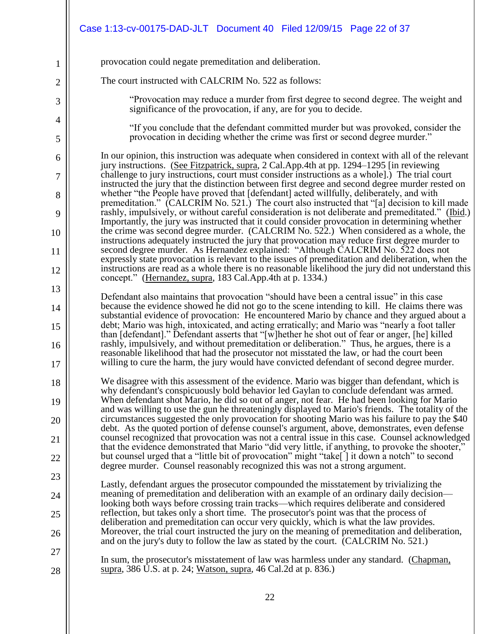|                | Case 1:13-cv-00175-DAD-JLT Document 40 Filed 12/09/15 Page 22 of 37                                                                                                                                                                                                                                  |
|----------------|------------------------------------------------------------------------------------------------------------------------------------------------------------------------------------------------------------------------------------------------------------------------------------------------------|
| 1              | provocation could negate premeditation and deliberation.                                                                                                                                                                                                                                             |
| $\overline{2}$ | The court instructed with CALCRIM No. 522 as follows:                                                                                                                                                                                                                                                |
| 3              | "Provocation may reduce a murder from first degree to second degree. The weight and<br>significance of the provocation, if any, are for you to decide.                                                                                                                                               |
| 4              | "If you conclude that the defendant committed murder but was provoked, consider the                                                                                                                                                                                                                  |
| 5              | provocation in deciding whether the crime was first or second degree murder."                                                                                                                                                                                                                        |
| 6<br>7         | In our opinion, this instruction was adequate when considered in context with all of the relevant<br>jury instructions. (See Fitzpatrick, supra, 2 Cal.App.4th at pp. 1294–1295 [in reviewing]<br>challenge to jury instructions, court must consider instructions as a whole.) The trial court      |
| 8              | instructed the jury that the distinction between first degree and second degree murder rested on<br>whether "the People have proved that [defendant] acted willfully, deliberately, and with                                                                                                         |
| 9              | premeditation." (CALCRIM No. 521.) The court also instructed that "[a] decision to kill made<br>rashly, impulsively, or without careful consideration is not deliberate and premeditated." (Ibid.)                                                                                                   |
| 10             | Importantly, the jury was instructed that it could consider provocation in determining whether<br>the crime was second degree murder. (CALCRIM No. 522.) When considered as a whole, the                                                                                                             |
| 11             | instructions adequately instructed the jury that provocation may reduce first degree murder to<br>second degree murder. As Hernandez explained: "Although CALCRIM No. 522 does not<br>expressly state provocation is relevant to the issues of premeditation and deliberation, when the              |
| 12             | instructions are read as a whole there is no reasonable likelihood the jury did not understand this<br>concept." (Hernandez, supra, 183 Cal.App.4th at p. 1334.)                                                                                                                                     |
| 13             | Defendant also maintains that provocation "should have been a central issue" in this case                                                                                                                                                                                                            |
| 14             | because the evidence showed he did not go to the scene intending to kill. He claims there was<br>substantial evidence of provocation: He encountered Mario by chance and they argued about a                                                                                                         |
| 15             | debt; Mario was high, intoxicated, and acting erratically; and Mario was "nearly a foot taller<br>than [defendant]." Defendant asserts that "[w] hether he shot out of fear or anger, [he] killed<br>rashly, impulsively, and without premeditation or deliberation." Thus, he argues, there is a    |
| 16<br>17       | reasonable likelihood that had the prosecutor not misstated the law, or had the court been<br>willing to cure the harm, the jury would have convicted defendant of second degree murder.                                                                                                             |
| 18             | We disagree with this assessment of the evidence. Mario was bigger than defendant, which is                                                                                                                                                                                                          |
| 19             | why defendant's conspicuously bold behavior led Gaylan to conclude defendant was armed.<br>When defendant shot Mario, he did so out of anger, not fear. He had been looking for Mario                                                                                                                |
| 20             | and was willing to use the gun he threateningly displayed to Mario's friends. The totality of the<br>circumstances suggested the only provocation for shooting Mario was his failure to pay the \$40<br>debt. As the quoted portion of defense counsel's argument, above, demonstrates, even defense |
| 21             | counsel recognized that provocation was not a central issue in this case. Counsel acknowledged<br>that the evidence demonstrated that Mario "did very little, if anything, to provoke the shooter,"                                                                                                  |
| 22             | but counsel urged that a "little bit of provocation" might "take     it down a notch" to second<br>degree murder. Counsel reasonably recognized this was not a strong argument.                                                                                                                      |
| 23             | Lastly, defendant argues the prosecutor compounded the misstatement by trivializing the                                                                                                                                                                                                              |
| 24             | meaning of premeditation and deliberation with an example of an ordinary daily decision—<br>looking both ways before crossing train tracks—which requires deliberate and considered                                                                                                                  |
| 25             | reflection, but takes only a short time. The prosecutor's point was that the process of<br>deliberation and premeditation can occur very quickly, which is what the law provides.                                                                                                                    |
| 26             | Moreover, the trial court instructed the jury on the meaning of premeditation and deliberation,<br>and on the jury's duty to follow the law as stated by the court. (CALCRIM No. 521.)                                                                                                               |
| 27             | In sum, the prosecutor's misstatement of law was harmless under any standard. (Chapman,                                                                                                                                                                                                              |
| 28             | supra, 386 U.S. at p. 24; Watson, supra, 46 Cal. 2d at p. 836.)                                                                                                                                                                                                                                      |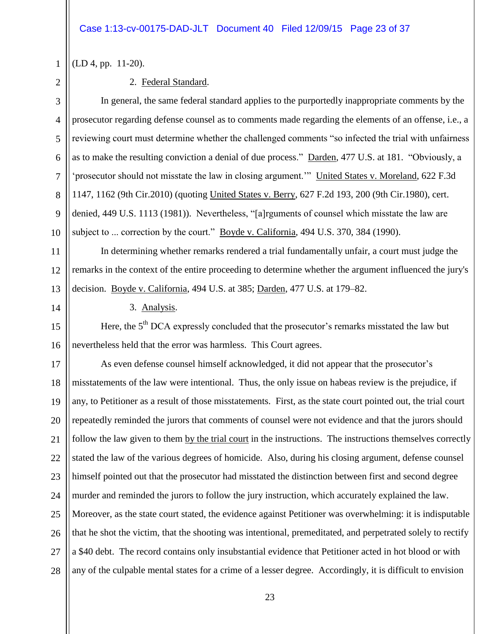1

2

3

4

5

6

7

8

 $\mathbf{Q}$ 

10

11

12

13

14

15

(LD 4, pp. 11-20).

### 2. Federal Standard.

In general, the same federal standard applies to the purportedly inappropriate comments by the prosecutor regarding defense counsel as to comments made regarding the elements of an offense, i.e., a reviewing court must determine whether the challenged comments "so infected the trial with unfairness as to make the resulting conviction a denial of due process." Darden, 477 U.S. at 181. "Obviously, a 'prosecutor should not misstate the law in closing argument.'" United States v. Moreland, 622 F.3d 1147, 1162 (9th Cir.2010) (quoting United States v. Berry, 627 F.2d 193, 200 (9th Cir.1980), cert. denied, 449 U.S. 1113 (1981)). Nevertheless, "[a]rguments of counsel which misstate the law are subject to ... correction by the court." <u>Boyde v. California</u>, 494 U.S. 370, 384 (1990).

In determining whether remarks rendered a trial fundamentally unfair, a court must judge the remarks in the context of the entire proceeding to determine whether the argument influenced the jury's decision. Boyde v. California, 494 U.S. at 385; Darden, 477 U.S. at 179–82.

3. Analysis.

16 Here, the 5<sup>th</sup> DCA expressly concluded that the prosecutor's remarks misstated the law but nevertheless held that the error was harmless. This Court agrees.

17 18 19 20 21 22 23 24 25 26 27 28 As even defense counsel himself acknowledged, it did not appear that the prosecutor's misstatements of the law were intentional. Thus, the only issue on habeas review is the prejudice, if any, to Petitioner as a result of those misstatements. First, as the state court pointed out, the trial court repeatedly reminded the jurors that comments of counsel were not evidence and that the jurors should follow the law given to them by the trial court in the instructions. The instructions themselves correctly stated the law of the various degrees of homicide. Also, during his closing argument, defense counsel himself pointed out that the prosecutor had misstated the distinction between first and second degree murder and reminded the jurors to follow the jury instruction, which accurately explained the law. Moreover, as the state court stated, the evidence against Petitioner was overwhelming: it is indisputable that he shot the victim, that the shooting was intentional, premeditated, and perpetrated solely to rectify a \$40 debt. The record contains only insubstantial evidence that Petitioner acted in hot blood or with any of the culpable mental states for a crime of a lesser degree. Accordingly, it is difficult to envision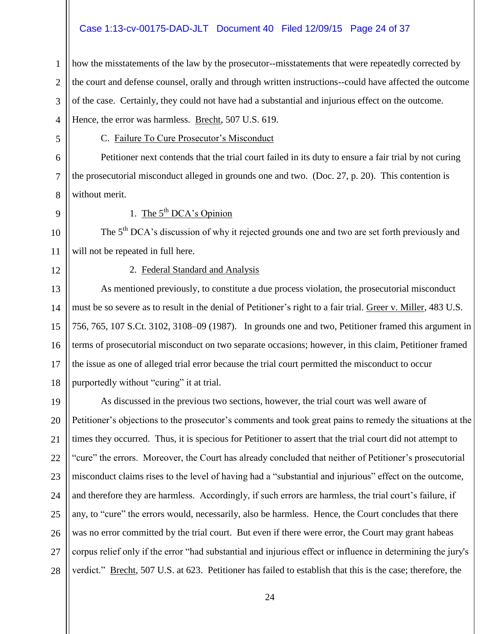### Case 1:13-cv-00175-DAD-JLT Document 40 Filed 12/09/15 Page 24 of 37

how the misstatements of the law by the prosecutor--misstatements that were repeatedly corrected by the court and defense counsel, orally and through written instructions--could have affected the outcome of the case. Certainly, they could not have had a substantial and injurious effect on the outcome. Hence, the error was harmless. Brecht, 507 U.S. 619.

5 6

7

8

 $\mathbf{Q}$ 

10

11

1

2

3

4

### C. Failure To Cure Prosecutor's Misconduct

Petitioner next contends that the trial court failed in its duty to ensure a fair trial by not curing the prosecutorial misconduct alleged in grounds one and two. (Doc. 27, p. 20). This contention is without merit.

## 1. The  $5<sup>th</sup> DCA's Opinion$

The  $5<sup>th</sup> DCA$ 's discussion of why it rejected grounds one and two are set forth previously and will not be repeated in full here.

12

### 2. Federal Standard and Analysis

13 14 15 16 17 18 As mentioned previously, to constitute a due process violation, the prosecutorial misconduct must be so severe as to result in the denial of Petitioner's right to a fair trial. Greer v. Miller, 483 U.S. 756, 765, 107 S.Ct. 3102, 3108–09 (1987). In grounds one and two, Petitioner framed this argument in terms of prosecutorial misconduct on two separate occasions; however, in this claim, Petitioner framed the issue as one of alleged trial error because the trial court permitted the misconduct to occur purportedly without "curing" it at trial.

19 20 21 22 23 24 25 26 27 28 As discussed in the previous two sections, however, the trial court was well aware of Petitioner's objections to the prosecutor's comments and took great pains to remedy the situations at the times they occurred. Thus, it is specious for Petitioner to assert that the trial court did not attempt to "cure" the errors. Moreover, the Court has already concluded that neither of Petitioner's prosecutorial misconduct claims rises to the level of having had a "substantial and injurious" effect on the outcome, and therefore they are harmless. Accordingly, if such errors are harmless, the trial court's failure, if any, to "cure" the errors would, necessarily, also be harmless. Hence, the Court concludes that there was no error committed by the trial court. But even if there were error, the Court may grant habeas corpus relief only if the error "had substantial and injurious effect or influence in determining the jury's verdict." Brecht, 507 U.S. at 623. Petitioner has failed to establish that this is the case; therefore, the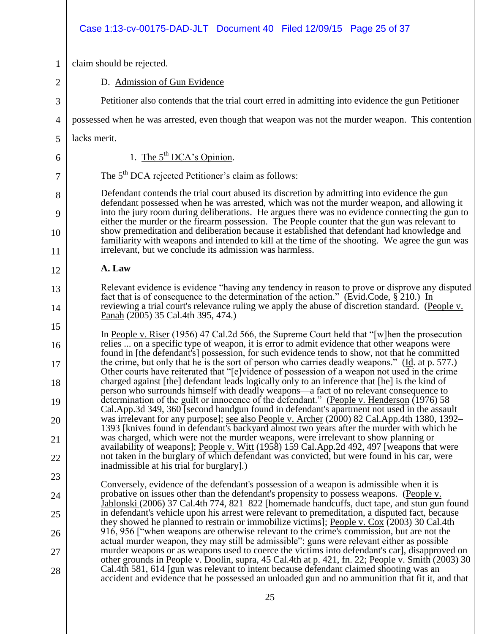### Case 1:13-cv-00175-DAD-JLT Document 40 Filed 12/09/15 Page 25 of 37

1 claim should be rejected.

D. Admission of Gun Evidence

Petitioner also contends that the trial court erred in admitting into evidence the gun Petitioner

4 possessed when he was arrested, even though that weapon was not the murder weapon. This contention

5 lacks merit.

2

3

6

7

8

9

10

11

12

13

14

15

16

17

18

19

20

21

22

23

24

25

26

27

28

1. The  $5^{th}$  DCA's Opinion.

The 5<sup>th</sup> DCA rejected Petitioner's claim as follows:

Defendant contends the trial court abused its discretion by admitting into evidence the gun defendant possessed when he was arrested, which was not the murder weapon, and allowing it into the jury room during deliberations. He argues there was no evidence connecting the gun to either the murder or the firearm possession. The People counter that the gun was relevant to show premeditation and deliberation because it established that defendant had knowledge and familiarity with weapons and intended to kill at the time of the shooting. We agree the gun was irrelevant, but we conclude its admission was harmless.

### **A. Law**

Relevant evidence is evidence "having any tendency in reason to prove or disprove any disputed fact that is of consequence to the determination of the action." (Evid.Code, § 210.) In reviewing a trial court's relevance ruling we apply the abuse of discretion standard. (People v. Panah (2005) 35 Cal.4th 395, 474.)

In People v. Riser (1956) 47 Cal.2d 566, the Supreme Court held that "[w]hen the prosecution relies ... on a specific type of weapon, it is error to admit evidence that other weapons were found in [the defendant's] possession, for such evidence tends to show, not that he committed the crime, but only that he is the sort of person who carries deadly weapons." (Id. at p. 577.) Other courts have reiterated that "[e]vidence of possession of a weapon not used in the crime charged against [the] defendant leads logically only to an inference that [he] is the kind of person who surrounds himself with deadly weapons—a fact of no relevant consequence to determination of the guilt or innocence of the defendant." (People v. Henderson (1976) 58 Cal.App.3d 349, 360 [second handgun found in defendant's apartment not used in the assault was irrelevant for any purpose]; <u>see also People v. Archer</u> (2000) 82 Cal.App.4th 1380, 1392– 1393 [knives found in defendant's backyard almost two years after the murder with which he was charged, which were not the murder weapons, were irrelevant to show planning or availability of weapons]; People v. Witt (1958) 159 Cal.App.2d 492, 497 [weapons that were not taken in the burglary of which defendant was convicted, but were found in his car, were inadmissible at his trial for burglary].)

Conversely, evidence of the defendant's possession of a weapon is admissible when it is probative on issues other than the defendant's propensity to possess weapons. (People v. Jablonski (2006) 37 Cal.4th 774, 821–822 [homemade handcuffs, duct tape, and stun gun found in defendant's vehicle upon his arrest were relevant to premeditation, a disputed fact, because they showed he planned to restrain or immobilize victims]; People v. Cox (2003) 30 Cal.4th 916, 956 ["when weapons are otherwise relevant to the crime's commission, but are not the actual murder weapon, they may still be admissible"; guns were relevant either as possible murder weapons or as weapons used to coerce the victims into defendant's car], disapproved on other grounds in People v. Doolin, supra, 45 Cal.4th at p. 421, fn. 22; People v. Smith (2003) 30 Cal.4th 581, 614 [gun was relevant to intent because defendant claimed shooting was an accident and evidence that he possessed an unloaded gun and no ammunition that fit it, and that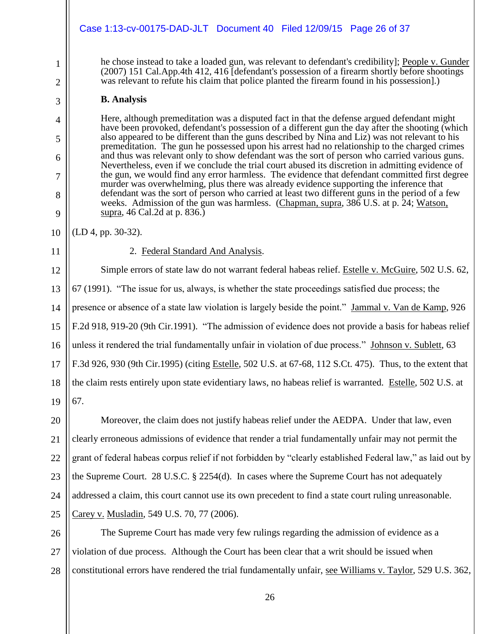|                     | Case 1:13-cv-00175-DAD-JLT  Document 40  Filed 12/09/15  Page 26 of 37                                                                                                                                                                                                                            |
|---------------------|---------------------------------------------------------------------------------------------------------------------------------------------------------------------------------------------------------------------------------------------------------------------------------------------------|
| $\mathbf{1}$        | he chose instead to take a loaded gun, was relevant to defendant's credibility]; People v. Gunder<br>(2007) 151 Cal.App.4th 412, 416 [defendant's possession of a firearm shortly before shootings<br>was relevant to refute his claim that police planted the firearm found in his possession].) |
| $\overline{2}$<br>3 | <b>B.</b> Analysis                                                                                                                                                                                                                                                                                |
|                     | Here, although premeditation was a disputed fact in that the defense argued defendant might                                                                                                                                                                                                       |
| 4<br>5              | have been provoked, defendant's possession of a different gun the day after the shooting (which<br>also appeared to be different than the guns described by Nina and Liz) was not relevant to his                                                                                                 |
| 6                   | premeditation. The gun he possessed upon his arrest had no relationship to the charged crimes<br>and thus was relevant only to show defendant was the sort of person who carried various guns.                                                                                                    |
| 7                   | Nevertheless, even if we conclude the trial court abused its discretion in admitting evidence of<br>the gun, we would find any error harmless. The evidence that defendant committed first degree                                                                                                 |
| 8                   | murder was overwhelming, plus there was already evidence supporting the inference that<br>defendant was the sort of person who carried at least two different guns in the period of a few                                                                                                         |
| 9                   | weeks. Admission of the gun was harmless. (Chapman, supra, 386 U.S. at p. 24; Watson,<br>supra, 46 Cal.2d at p. 836.)                                                                                                                                                                             |
| 10                  | (LD 4, pp. 30-32).                                                                                                                                                                                                                                                                                |
| 11                  | 2. Federal Standard And Analysis.                                                                                                                                                                                                                                                                 |
| 12                  | Simple errors of state law do not warrant federal habeas relief. Estelle v. McGuire, 502 U.S. 62,                                                                                                                                                                                                 |
| 13                  | 67 (1991). "The issue for us, always, is whether the state proceedings satisfied due process; the                                                                                                                                                                                                 |
| 14                  | presence or absence of a state law violation is largely beside the point." Jammal v. Van de Kamp, 926                                                                                                                                                                                             |
| 15                  | F.2d 918, 919-20 (9th Cir.1991). "The admission of evidence does not provide a basis for habeas relief                                                                                                                                                                                            |
| 16                  | unless it rendered the trial fundamentally unfair in violation of due process." Johnson v. Sublett, 63                                                                                                                                                                                            |
| 17                  | F.3d 926, 930 (9th Cir.1995) (citing Estelle, 502 U.S. at 67-68, 112 S.Ct. 475). Thus, to the extent that                                                                                                                                                                                         |
| 18                  | the claim rests entirely upon state evidentiary laws, no habeas relief is warranted. Estelle, 502 U.S. at                                                                                                                                                                                         |
| 19                  | 67.                                                                                                                                                                                                                                                                                               |
| 20                  | Moreover, the claim does not justify habeas relief under the AEDPA. Under that law, even                                                                                                                                                                                                          |
| 21                  | clearly erroneous admissions of evidence that render a trial fundamentally unfair may not permit the                                                                                                                                                                                              |
| 22                  | grant of federal habeas corpus relief if not forbidden by "clearly established Federal law," as laid out by                                                                                                                                                                                       |
| 23                  | the Supreme Court. 28 U.S.C. § 2254(d). In cases where the Supreme Court has not adequately                                                                                                                                                                                                       |
| 24                  | addressed a claim, this court cannot use its own precedent to find a state court ruling unreasonable.                                                                                                                                                                                             |
| 25                  | Carey v. Musladin, 549 U.S. 70, 77 (2006).                                                                                                                                                                                                                                                        |
| 26                  | The Supreme Court has made very few rulings regarding the admission of evidence as a                                                                                                                                                                                                              |
| 27                  | violation of due process. Although the Court has been clear that a writ should be issued when                                                                                                                                                                                                     |
| 28                  | constitutional errors have rendered the trial fundamentally unfair, see Williams v. Taylor, 529 U.S. 362,                                                                                                                                                                                         |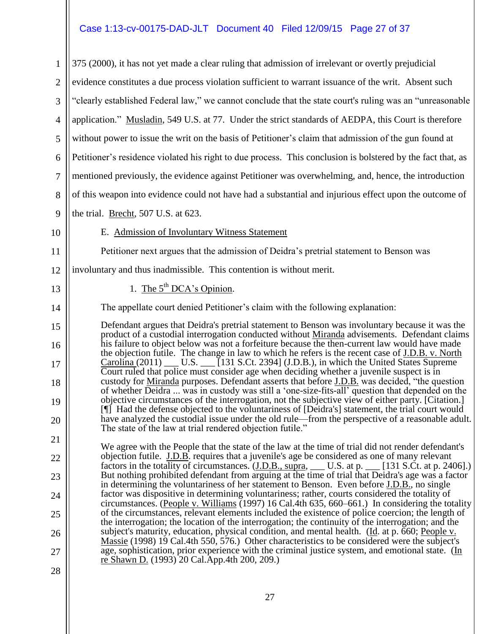## Case 1:13-cv-00175-DAD-JLT Document 40 Filed 12/09/15 Page 27 of 37

| $\mathbf{1}$   | 375 (2000), it has not yet made a clear ruling that admission of irrelevant or overtly prejudicial                                                                                                                                                                                                       |
|----------------|----------------------------------------------------------------------------------------------------------------------------------------------------------------------------------------------------------------------------------------------------------------------------------------------------------|
| $\overline{2}$ | evidence constitutes a due process violation sufficient to warrant issuance of the writ. Absent such                                                                                                                                                                                                     |
| 3              | "clearly established Federal law," we cannot conclude that the state court's ruling was an "unreasonable"                                                                                                                                                                                                |
| 4              | application." Musladin, 549 U.S. at 77. Under the strict standards of AEDPA, this Court is therefore                                                                                                                                                                                                     |
| 5              | without power to issue the writ on the basis of Petitioner's claim that admission of the gun found at                                                                                                                                                                                                    |
| 6              | Petitioner's residence violated his right to due process. This conclusion is bolstered by the fact that, as                                                                                                                                                                                              |
| 7              | mentioned previously, the evidence against Petitioner was overwhelming, and, hence, the introduction                                                                                                                                                                                                     |
| 8              | of this weapon into evidence could not have had a substantial and injurious effect upon the outcome of                                                                                                                                                                                                   |
| 9              | the trial. Brecht, 507 U.S. at 623.                                                                                                                                                                                                                                                                      |
| 10             | E. Admission of Involuntary Witness Statement                                                                                                                                                                                                                                                            |
| 11             | Petitioner next argues that the admission of Deidra's pretrial statement to Benson was                                                                                                                                                                                                                   |
| 12             | involuntary and thus inadmissible. This contention is without merit.                                                                                                                                                                                                                                     |
| 13             | 1. The $5^{th}$ DCA's Opinion.                                                                                                                                                                                                                                                                           |
| 14             | The appellate court denied Petitioner's claim with the following explanation:                                                                                                                                                                                                                            |
| 15             | Defendant argues that Deidra's pretrial statement to Benson was involuntary because it was the                                                                                                                                                                                                           |
| 16             | product of a custodial interrogation conducted without Miranda advisements. Defendant claims<br>his failure to object below was not a forfeiture because the then-current law would have made<br>the objection futile. The change in law to which he refers is the recent case of <b>J.D.B.</b> v. North |
| 17             | Court ruled that police must consider age when deciding whether a juvenile suspect is in                                                                                                                                                                                                                 |
| 18             | custody for Miranda purposes. Defendant asserts that before J.D.B. was decided, "the question<br>of whether Deidra  was in custody was still a 'one-size-fits-all' question that depended on the                                                                                                         |
| 19             | objective circumstances of the interrogation, not the subjective view of either party. [Citation.]<br>[1] Had the defense objected to the voluntariness of [Deidra's] statement, the trial court would                                                                                                   |
| 20             | have analyzed the custodial issue under the old rule—from the perspective of a reasonable adult.<br>The state of the law at trial rendered objection futile."                                                                                                                                            |
| 21             |                                                                                                                                                                                                                                                                                                          |
| 22             | We agree with the People that the state of the law at the time of trial did not render defendant's<br>objection futile. J.D.B. requires that a juvenile's age be considered as one of many relevant                                                                                                      |
| 23             | factors in the totality of circumstances. $(\underline{J.D.B., supra, \_\_\_\_\_U.S. at p. \_\_\_\_I131 S.Ct. at p. 2406].})$<br>But nothing prohibited defendant from arguing at the time of trial that Deidra's age was a factor                                                                       |
| 24             | in determining the voluntariness of her statement to Benson. Even before J.D.B., no single<br>factor was dispositive in determining voluntariness; rather, courts considered the totality of                                                                                                             |
| 25             | circumstances. (People v. Williams (1997) 16 Cal.4th 635, 660–661.) In considering the totality<br>of the circumstances, relevant elements included the existence of police coercion; the length of                                                                                                      |
| 26             | the interrogation; the location of the interrogation; the continuity of the interrogation; and the<br>subject's maturity, education, physical condition, and mental health. (Id. at p. 660; People v.                                                                                                    |
| 27             | <u>Massie</u> (1998) 19 Cal.4th 550, 576.) Other characteristics to be considered were the subject's<br>age, sophistication, prior experience with the criminal justice system, and emotional state. (In                                                                                                 |
| 28             | re Shawn D. (1993) 20 Cal.App.4th 200, 209.)                                                                                                                                                                                                                                                             |
|                |                                                                                                                                                                                                                                                                                                          |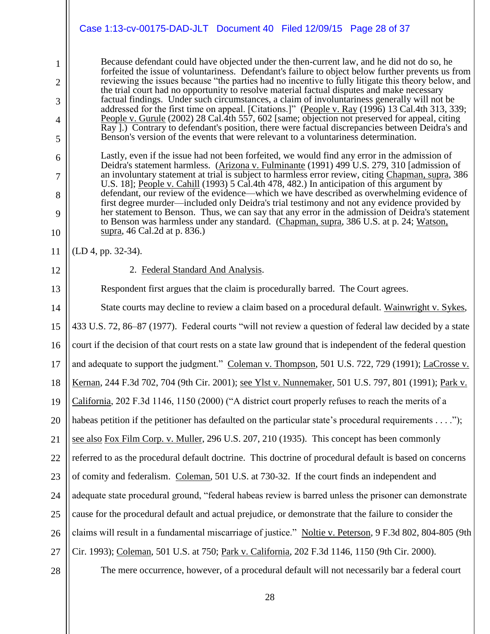|                                                                                      | Case 1:13-cv-00175-DAD-JLT Document 40 Filed 12/09/15 Page 28 of 37                                                                                                                                                                                                                                                                                                                                                                                                                                                                                                                                                                                                                                                                                                                                                                                                                                                                                                                                                                                                                                                                                                                                                                                                                                                                                                                                                                                                                                                                                                                                                                                                                                                               |
|--------------------------------------------------------------------------------------|-----------------------------------------------------------------------------------------------------------------------------------------------------------------------------------------------------------------------------------------------------------------------------------------------------------------------------------------------------------------------------------------------------------------------------------------------------------------------------------------------------------------------------------------------------------------------------------------------------------------------------------------------------------------------------------------------------------------------------------------------------------------------------------------------------------------------------------------------------------------------------------------------------------------------------------------------------------------------------------------------------------------------------------------------------------------------------------------------------------------------------------------------------------------------------------------------------------------------------------------------------------------------------------------------------------------------------------------------------------------------------------------------------------------------------------------------------------------------------------------------------------------------------------------------------------------------------------------------------------------------------------------------------------------------------------------------------------------------------------|
| $\mathbf{1}$<br>$\overline{2}$<br>3<br>$\overline{4}$<br>5<br>6<br>7<br>8<br>9<br>10 | Because defendant could have objected under the then-current law, and he did not do so, he<br>forfeited the issue of voluntariness. Defendant's failure to object below further prevents us from<br>reviewing the issues because "the parties had no incentive to fully litigate this theory below, and<br>the trial court had no opportunity to resolve material factual disputes and make necessary<br>factual findings. Under such circumstances, a claim of involuntariness generally will not be<br>addressed for the first time on appeal. [Citations.]" (People v. Ray (1996) 13 Cal.4th 313, 339;<br>People v. Gurule (2002) 28 Cal. 4th 557, 602 [same; objection not preserved for appeal, citing<br>Ray ].) Contrary to defendant's position, there were factual discrepancies between Deidra's and<br>Benson's version of the events that were relevant to a voluntariness determination.<br>Lastly, even if the issue had not been forfeited, we would find any error in the admission of<br>Deidra's statement harmless. (Arizona v. Fulminante (1991) 499 U.S. 279, 310 [admission of<br>an involuntary statement at trial is subject to harmless error review, citing Chapman, supra, 386<br>U.S. 18]; People v. Cahill (1993) 5 Cal. 4th 478, 482.) In anticipation of this argument by<br>defendant, our review of the evidence—which we have described as overwhelming evidence of<br>first degree murder—included only Deidra's trial testimony and not any evidence provided by<br>her statement to Benson. Thus, we can say that any error in the admission of Deidra's statement<br>to Benson was harmless under any standard. (Chapman, supra, 386 U.S. at p. 24; Watson,<br>supra, 46 Cal.2d at p. 836.) |
| 11                                                                                   | (LD 4, pp. 32-34).                                                                                                                                                                                                                                                                                                                                                                                                                                                                                                                                                                                                                                                                                                                                                                                                                                                                                                                                                                                                                                                                                                                                                                                                                                                                                                                                                                                                                                                                                                                                                                                                                                                                                                                |
| 12                                                                                   | 2. Federal Standard And Analysis.                                                                                                                                                                                                                                                                                                                                                                                                                                                                                                                                                                                                                                                                                                                                                                                                                                                                                                                                                                                                                                                                                                                                                                                                                                                                                                                                                                                                                                                                                                                                                                                                                                                                                                 |
| 13                                                                                   | Respondent first argues that the claim is procedurally barred. The Court agrees.                                                                                                                                                                                                                                                                                                                                                                                                                                                                                                                                                                                                                                                                                                                                                                                                                                                                                                                                                                                                                                                                                                                                                                                                                                                                                                                                                                                                                                                                                                                                                                                                                                                  |
| 14                                                                                   | State courts may decline to review a claim based on a procedural default. Wainwright v. Sykes,                                                                                                                                                                                                                                                                                                                                                                                                                                                                                                                                                                                                                                                                                                                                                                                                                                                                                                                                                                                                                                                                                                                                                                                                                                                                                                                                                                                                                                                                                                                                                                                                                                    |
| 15                                                                                   | 433 U.S. 72, 86–87 (1977). Federal courts "will not review a question of federal law decided by a state                                                                                                                                                                                                                                                                                                                                                                                                                                                                                                                                                                                                                                                                                                                                                                                                                                                                                                                                                                                                                                                                                                                                                                                                                                                                                                                                                                                                                                                                                                                                                                                                                           |
| 16                                                                                   | court if the decision of that court rests on a state law ground that is independent of the federal question                                                                                                                                                                                                                                                                                                                                                                                                                                                                                                                                                                                                                                                                                                                                                                                                                                                                                                                                                                                                                                                                                                                                                                                                                                                                                                                                                                                                                                                                                                                                                                                                                       |
| 17                                                                                   | and adequate to support the judgment." Coleman v. Thompson, 501 U.S. 722, 729 (1991); LaCrosse v.                                                                                                                                                                                                                                                                                                                                                                                                                                                                                                                                                                                                                                                                                                                                                                                                                                                                                                                                                                                                                                                                                                                                                                                                                                                                                                                                                                                                                                                                                                                                                                                                                                 |
| 18                                                                                   | Kernan, 244 F.3d 702, 704 (9th Cir. 2001); see Ylst v. Nunnemaker, 501 U.S. 797, 801 (1991); Park v.                                                                                                                                                                                                                                                                                                                                                                                                                                                                                                                                                                                                                                                                                                                                                                                                                                                                                                                                                                                                                                                                                                                                                                                                                                                                                                                                                                                                                                                                                                                                                                                                                              |
| 19                                                                                   | California, 202 F.3d 1146, 1150 (2000) ("A district court properly refuses to reach the merits of a                                                                                                                                                                                                                                                                                                                                                                                                                                                                                                                                                                                                                                                                                                                                                                                                                                                                                                                                                                                                                                                                                                                                                                                                                                                                                                                                                                                                                                                                                                                                                                                                                               |
| 20                                                                                   | habeas petition if the petitioner has defaulted on the particular state's procedural requirements");                                                                                                                                                                                                                                                                                                                                                                                                                                                                                                                                                                                                                                                                                                                                                                                                                                                                                                                                                                                                                                                                                                                                                                                                                                                                                                                                                                                                                                                                                                                                                                                                                              |
| 21                                                                                   | see also Fox Film Corp. v. Muller, 296 U.S. 207, 210 (1935). This concept has been commonly                                                                                                                                                                                                                                                                                                                                                                                                                                                                                                                                                                                                                                                                                                                                                                                                                                                                                                                                                                                                                                                                                                                                                                                                                                                                                                                                                                                                                                                                                                                                                                                                                                       |
| 22                                                                                   | referred to as the procedural default doctrine. This doctrine of procedural default is based on concerns                                                                                                                                                                                                                                                                                                                                                                                                                                                                                                                                                                                                                                                                                                                                                                                                                                                                                                                                                                                                                                                                                                                                                                                                                                                                                                                                                                                                                                                                                                                                                                                                                          |
| 23                                                                                   | of comity and federalism. Coleman, 501 U.S. at 730-32. If the court finds an independent and                                                                                                                                                                                                                                                                                                                                                                                                                                                                                                                                                                                                                                                                                                                                                                                                                                                                                                                                                                                                                                                                                                                                                                                                                                                                                                                                                                                                                                                                                                                                                                                                                                      |
| 24                                                                                   | adequate state procedural ground, "federal habeas review is barred unless the prisoner can demonstrate                                                                                                                                                                                                                                                                                                                                                                                                                                                                                                                                                                                                                                                                                                                                                                                                                                                                                                                                                                                                                                                                                                                                                                                                                                                                                                                                                                                                                                                                                                                                                                                                                            |
| 25                                                                                   | cause for the procedural default and actual prejudice, or demonstrate that the failure to consider the                                                                                                                                                                                                                                                                                                                                                                                                                                                                                                                                                                                                                                                                                                                                                                                                                                                                                                                                                                                                                                                                                                                                                                                                                                                                                                                                                                                                                                                                                                                                                                                                                            |
| 26                                                                                   | claims will result in a fundamental miscarriage of justice." Noltie v. Peterson, 9 F.3d 802, 804-805 (9th                                                                                                                                                                                                                                                                                                                                                                                                                                                                                                                                                                                                                                                                                                                                                                                                                                                                                                                                                                                                                                                                                                                                                                                                                                                                                                                                                                                                                                                                                                                                                                                                                         |
| 27                                                                                   | Cir. 1993); Coleman, 501 U.S. at 750; Park v. California, 202 F.3d 1146, 1150 (9th Cir. 2000).                                                                                                                                                                                                                                                                                                                                                                                                                                                                                                                                                                                                                                                                                                                                                                                                                                                                                                                                                                                                                                                                                                                                                                                                                                                                                                                                                                                                                                                                                                                                                                                                                                    |
| 28                                                                                   | The mere occurrence, however, of a procedural default will not necessarily bar a federal court                                                                                                                                                                                                                                                                                                                                                                                                                                                                                                                                                                                                                                                                                                                                                                                                                                                                                                                                                                                                                                                                                                                                                                                                                                                                                                                                                                                                                                                                                                                                                                                                                                    |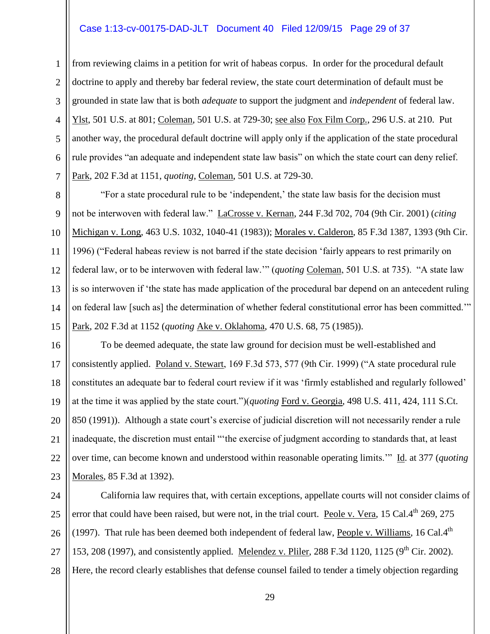### Case 1:13-cv-00175-DAD-JLT Document 40 Filed 12/09/15 Page 29 of 37

1

2

3

4

5

6

7

8

9

10

11

12

13

14

15

from reviewing claims in a petition for writ of habeas corpus. In order for the procedural default doctrine to apply and thereby bar federal review, the state court determination of default must be grounded in state law that is both *adequate* to support the judgment and *independent* of federal law. Ylst, 501 U.S. at 801; Coleman, 501 U.S. at 729-30; see also Fox Film Corp., 296 U.S. at 210. Put another way, the procedural default doctrine will apply only if the application of the state procedural rule provides "an adequate and independent state law basis" on which the state court can deny relief. Park, 202 F.3d at 1151, *quoting*, Coleman, 501 U.S. at 729-30.

"For a state procedural rule to be 'independent,' the state law basis for the decision must not be interwoven with federal law." LaCrosse v. Kernan, 244 F.3d 702, 704 (9th Cir. 2001) (*citing* Michigan v. Long, 463 U.S. 1032, 1040-41 (1983)); Morales v. Calderon, 85 F.3d 1387, 1393 (9th Cir. 1996) ("Federal habeas review is not barred if the state decision 'fairly appears to rest primarily on federal law, or to be interwoven with federal law.'" (*quoting* Coleman, 501 U.S. at 735). "A state law is so interwoven if 'the state has made application of the procedural bar depend on an antecedent ruling on federal law [such as] the determination of whether federal constitutional error has been committed.'" Park, 202 F.3d at 1152 (*quoting* Ake v. Oklahoma, 470 U.S. 68, 75 (1985)).

16 17 18 19 20 21 22 23 To be deemed adequate, the state law ground for decision must be well-established and consistently applied. Poland v. Stewart, 169 F.3d 573, 577 (9th Cir. 1999) ("A state procedural rule constitutes an adequate bar to federal court review if it was 'firmly established and regularly followed' at the time it was applied by the state court.")(*quoting* Ford v. Georgia, 498 U.S. 411, 424, 111 S.Ct. 850 (1991)). Although a state court's exercise of judicial discretion will not necessarily render a rule inadequate, the discretion must entail "'the exercise of judgment according to standards that, at least over time, can become known and understood within reasonable operating limits.'" Id. at 377 (*quoting* Morales, 85 F.3d at 1392).

24 25 26 27 28 California law requires that, with certain exceptions, appellate courts will not consider claims of error that could have been raised, but were not, in the trial court. Peole v. Vera, 15 Cal.4<sup>th</sup> 269, 275 (1997). That rule has been deemed both independent of federal law, People v. Williams, 16 Cal.4<sup>th</sup> 153, 208 (1997), and consistently applied. Melendez v. Pliler, 288 F.3d 1120, 1125 ( $9<sup>th</sup>$  Cir. 2002). Here, the record clearly establishes that defense counsel failed to tender a timely objection regarding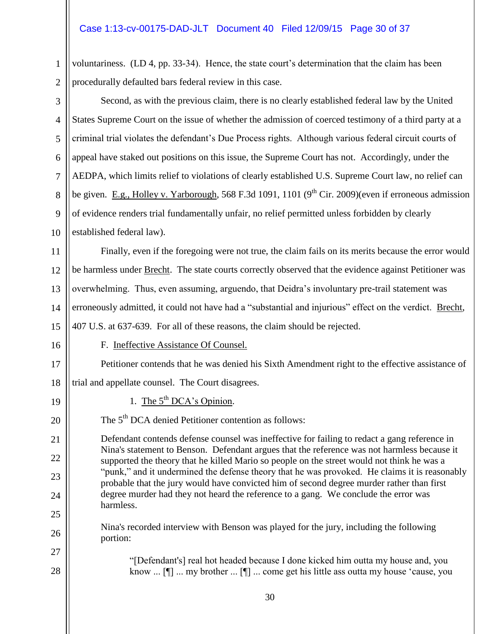### Case 1:13-cv-00175-DAD-JLT Document 40 Filed 12/09/15 Page 30 of 37

1

2 voluntariness. (LD 4, pp. 33-34). Hence, the state court's determination that the claim has been procedurally defaulted bars federal review in this case.

3 4 5 6 7 8 9 10 11 12 13 14 15 16 17 18 19 20 21 22 23 24 25 26 27 28 Second, as with the previous claim, there is no clearly established federal law by the United States Supreme Court on the issue of whether the admission of coerced testimony of a third party at a criminal trial violates the defendant's Due Process rights. Although various federal circuit courts of appeal have staked out positions on this issue, the Supreme Court has not. Accordingly, under the AEDPA, which limits relief to violations of clearly established U.S. Supreme Court law, no relief can be given. E.g., Holley v. Yarborough, 568 F.3d 1091, 1101 (9<sup>th</sup> Cir. 2009)(even if erroneous admission of evidence renders trial fundamentally unfair, no relief permitted unless forbidden by clearly established federal law). Finally, even if the foregoing were not true, the claim fails on its merits because the error would be harmless under Brecht. The state courts correctly observed that the evidence against Petitioner was overwhelming. Thus, even assuming, arguendo, that Deidra's involuntary pre-trail statement was erroneously admitted, it could not have had a "substantial and injurious" effect on the verdict. Brecht, 407 U.S. at 637-639. For all of these reasons, the claim should be rejected. F. Ineffective Assistance Of Counsel. Petitioner contends that he was denied his Sixth Amendment right to the effective assistance of trial and appellate counsel. The Court disagrees. 1. The  $5<sup>th</sup> DCA's Opinion.$ The 5<sup>th</sup> DCA denied Petitioner contention as follows: Defendant contends defense counsel was ineffective for failing to redact a gang reference in Nina's statement to Benson. Defendant argues that the reference was not harmless because it supported the theory that he killed Mario so people on the street would not think he was a "punk," and it undermined the defense theory that he was provoked. He claims it is reasonably probable that the jury would have convicted him of second degree murder rather than first degree murder had they not heard the reference to a gang. We conclude the error was harmless. Nina's recorded interview with Benson was played for the jury, including the following portion: "[Defendant's] real hot headed because I done kicked him outta my house and, you know ... [¶] ... my brother ... [¶] ... come get his little ass outta my house 'cause, you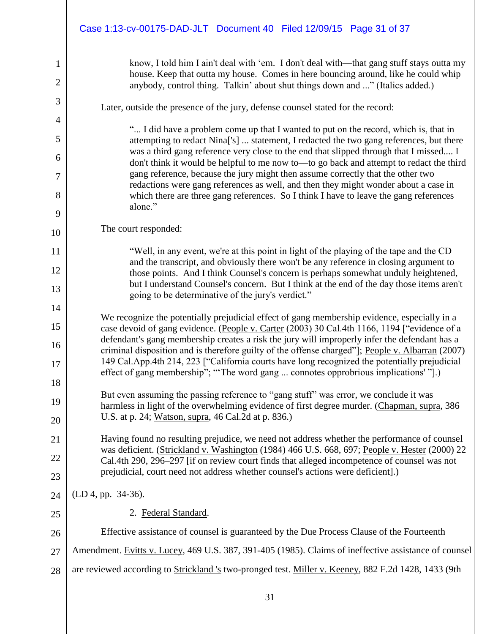1 2 3 4 5 6 7 8 9 10 11 12 13 14 15 16 17 18 19 20 21 22 23 24 25 26 27 28 know, I told him I ain't deal with 'em. I don't deal with—that gang stuff stays outta my house. Keep that outta my house. Comes in here bouncing around, like he could whip anybody, control thing. Talkin' about shut things down and ..." (Italics added.) Later, outside the presence of the jury, defense counsel stated for the record: "... I did have a problem come up that I wanted to put on the record, which is, that in attempting to redact Nina['s] ... statement, I redacted the two gang references, but there was a third gang reference very close to the end that slipped through that I missed.... I don't think it would be helpful to me now to—to go back and attempt to redact the third gang reference, because the jury might then assume correctly that the other two redactions were gang references as well, and then they might wonder about a case in which there are three gang references. So I think I have to leave the gang references alone." The court responded: "Well, in any event, we're at this point in light of the playing of the tape and the CD and the transcript, and obviously there won't be any reference in closing argument to those points. And I think Counsel's concern is perhaps somewhat unduly heightened, but I understand Counsel's concern. But I think at the end of the day those items aren't going to be determinative of the jury's verdict." We recognize the potentially prejudicial effect of gang membership evidence, especially in a case devoid of gang evidence. (People v. Carter (2003) 30 Cal.4th 1166, 1194 ["evidence of a defendant's gang membership creates a risk the jury will improperly infer the defendant has a criminal disposition and is therefore guilty of the offense charged"]; People v. Albarran (2007) 149 Cal.App.4th 214, 223 ["California courts have long recognized the potentially prejudicial effect of gang membership"; "'The word gang ... connotes opprobrious implications' "].) But even assuming the passing reference to "gang stuff" was error, we conclude it was harmless in light of the overwhelming evidence of first degree murder. (Chapman, supra, 386 U.S. at p. 24; Watson, supra, 46 Cal.2d at p. 836.) Having found no resulting prejudice, we need not address whether the performance of counsel was deficient. (Strickland v. Washington (1984) 466 U.S. 668, 697; People v. Hester (2000) 22 Cal.4th 290, 296–297 [if on review court finds that alleged incompetence of counsel was not prejudicial, court need not address whether counsel's actions were deficient].) (LD 4, pp. 34-36). 2. Federal Standard. Effective assistance of counsel is guaranteed by the Due Process Clause of the Fourteenth Amendment. Evitts v. Lucey, 469 U.S. 387, 391-405 (1985). Claims of ineffective assistance of counsel are reviewed according to Strickland 's two-pronged test. Miller v. Keeney, 882 F.2d 1428, 1433 (9th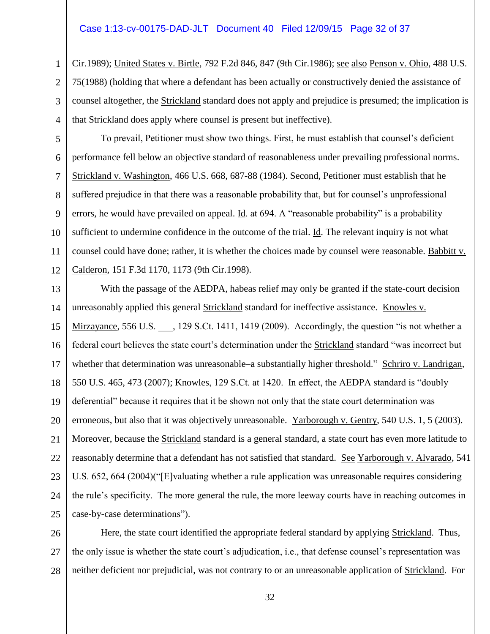### Case 1:13-cv-00175-DAD-JLT Document 40 Filed 12/09/15 Page 32 of 37

1

2

3

4

5

6

7

8

 $\mathbf{Q}$ 

10

11

12

Cir.1989); United States v. Birtle, 792 F.2d 846, 847 (9th Cir.1986); see also Penson v. Ohio, 488 U.S. 75(1988) (holding that where a defendant has been actually or constructively denied the assistance of counsel altogether, the Strickland standard does not apply and prejudice is presumed; the implication is that Strickland does apply where counsel is present but ineffective).

To prevail, Petitioner must show two things. First, he must establish that counsel's deficient performance fell below an objective standard of reasonableness under prevailing professional norms. Strickland v. Washington, 466 U.S. 668, 687-88 (1984). Second, Petitioner must establish that he suffered prejudice in that there was a reasonable probability that, but for counsel's unprofessional errors, he would have prevailed on appeal. Id. at 694. A "reasonable probability" is a probability sufficient to undermine confidence in the outcome of the trial. Id. The relevant inquiry is not what counsel could have done; rather, it is whether the choices made by counsel were reasonable. Babbitt v. Calderon, 151 F.3d 1170, 1173 (9th Cir.1998).

13 14 15 16 17 18 19 20 21 22 23 24 25 With the passage of the AEDPA, habeas relief may only be granted if the state-court decision unreasonably applied this general Strickland standard for ineffective assistance. Knowles v. Mirzayance, 556 U.S. \_\_\_, 129 S.Ct. 1411, 1419 (2009). Accordingly, the question "is not whether a federal court believes the state court's determination under the Strickland standard "was incorrect but whether that determination was unreasonable–a substantially higher threshold." Schriro v. Landrigan, 550 U.S. 465, 473 (2007); Knowles, 129 S.Ct. at 1420. In effect, the AEDPA standard is "doubly deferential" because it requires that it be shown not only that the state court determination was erroneous, but also that it was objectively unreasonable. Yarborough v. Gentry, 540 U.S. 1, 5 (2003). Moreover, because the Strickland standard is a general standard, a state court has even more latitude to reasonably determine that a defendant has not satisfied that standard. See Yarborough v. Alvarado, 541 U.S. 652, 664 (2004)("[E]valuating whether a rule application was unreasonable requires considering the rule's specificity. The more general the rule, the more leeway courts have in reaching outcomes in case-by-case determinations").

26 27 28 Here, the state court identified the appropriate federal standard by applying Strickland. Thus, the only issue is whether the state court's adjudication, i.e., that defense counsel's representation was neither deficient nor prejudicial, was not contrary to or an unreasonable application of Strickland. For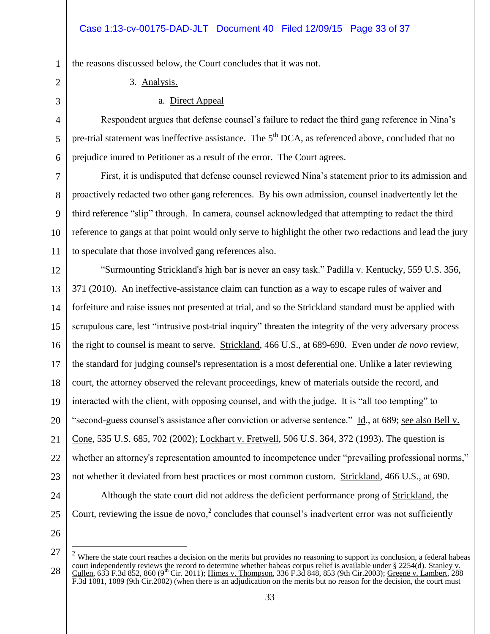the reasons discussed below, the Court concludes that it was not.

3. Analysis.

### a. Direct Appeal

Respondent argues that defense counsel's failure to redact the third gang reference in Nina's pre-trial statement was ineffective assistance. The 5<sup>th</sup> DCA, as referenced above, concluded that no prejudice inured to Petitioner as a result of the error. The Court agrees.

9 10 First, it is undisputed that defense counsel reviewed Nina's statement prior to its admission and proactively redacted two other gang references. By his own admission, counsel inadvertently let the third reference "slip" through. In camera, counsel acknowledged that attempting to redact the third reference to gangs at that point would only serve to highlight the other two redactions and lead the jury to speculate that those involved gang references also.

12 13 14 15 16 17 18 19 20 21 22 23 24 25 "Surmounting Strickland's high bar is never an easy task." Padilla v. Kentucky, 559 U.S. 356, 371 (2010). An ineffective-assistance claim can function as a way to escape rules of waiver and forfeiture and raise issues not presented at trial, and so the Strickland standard must be applied with scrupulous care, lest "intrusive post-trial inquiry" threaten the integrity of the very adversary process the right to counsel is meant to serve. Strickland, 466 U.S., at 689-690. Even under *de novo* review, the standard for judging counsel's representation is a most deferential one. Unlike a later reviewing court, the attorney observed the relevant proceedings, knew of materials outside the record, and interacted with the client, with opposing counsel, and with the judge. It is "all too tempting" to "second-guess counsel's assistance after conviction or adverse sentence." Id., at 689; see also Bell v. Cone, 535 U.S. 685, 702 (2002); Lockhart v. Fretwell, 506 U.S. 364, 372 (1993). The question is whether an attorney's representation amounted to incompetence under "prevailing professional norms," not whether it deviated from best practices or most common custom. Strickland, 466 U.S., at 690. Although the state court did not address the deficient performance prong of Strickland, the Court, reviewing the issue de novo, $2$  concludes that counsel's inadvertent error was not sufficiently

26 27

 $\overline{a}$ 

28

1

2

3

4

5

6

7

8

11

 $2$  Where the state court reaches a decision on the merits but provides no reasoning to support its conclusion, a federal habeas court independently reviews the record to determine whether habeas corpus relief is available under § 2254(d). Stanley v. Cullen, 633 F.3d 852, 860 (9<sup>th</sup> Cir. 2011); Himes v. Thompson, 336 F.3d 848, 853 (9th Cir.2003); Greene v. Lambert, 288  $\overline{F.3d}$  1081, 1089 (9th Cir.2002) (when there is an adjudication on the merits but no reason for the decision, the court must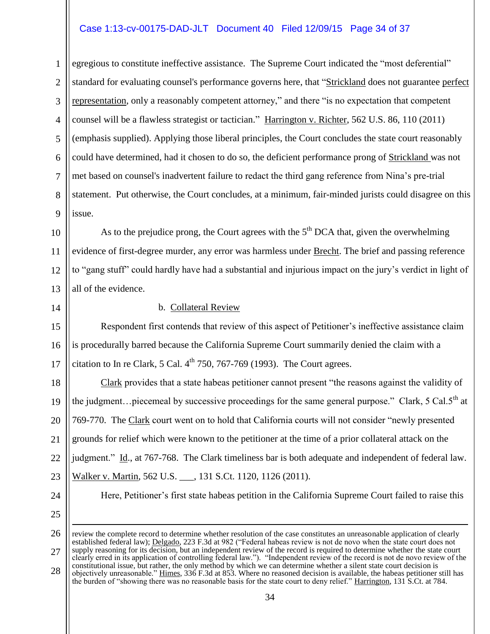### Case 1:13-cv-00175-DAD-JLT Document 40 Filed 12/09/15 Page 34 of 37

1 2 3 4 5 6 7 8 9 egregious to constitute ineffective assistance. The Supreme Court indicated the "most deferential" standard for evaluating counsel's performance governs here, that "Strickland does not guarantee perfect representation, only a reasonably competent attorney," and there "is no expectation that competent counsel will be a flawless strategist or tactician." Harrington v. Richter, 562 U.S. 86, 110 (2011) (emphasis supplied). Applying those liberal principles, the Court concludes the state court reasonably could have determined, had it chosen to do so, the deficient performance prong of Strickland was not met based on counsel's inadvertent failure to redact the third gang reference from Nina's pre-trial statement. Put otherwise, the Court concludes, at a minimum, fair-minded jurists could disagree on this issue.

10 11 12 13 As to the prejudice prong, the Court agrees with the  $5<sup>th</sup>$  DCA that, given the overwhelming evidence of first-degree murder, any error was harmless under Brecht. The brief and passing reference to "gang stuff" could hardly have had a substantial and injurious impact on the jury's verdict in light of all of the evidence.

14

### b. Collateral Review

15 16 17 Respondent first contends that review of this aspect of Petitioner's ineffective assistance claim is procedurally barred because the California Supreme Court summarily denied the claim with a citation to In re Clark, 5 Cal.  $4<sup>th</sup>$  750, 767-769 (1993). The Court agrees.

18 19 20 21 22 23 Clark provides that a state habeas petitioner cannot present "the reasons against the validity of the judgment... piecemeal by successive proceedings for the same general purpose." Clark, 5 Cal.5<sup>th</sup> at 769-770. The Clark court went on to hold that California courts will not consider "newly presented grounds for relief which were known to the petitioner at the time of a prior collateral attack on the judgment." Id., at 767-768. The Clark timeliness bar is both adequate and independent of federal law. Walker v. Martin, 562 U.S. , 131 S.Ct. 1120, 1126 (2011).

24

25

 $\overline{a}$ 

Here, Petitioner's first state habeas petition in the California Supreme Court failed to raise this

26 27 28 review the complete record to determine whether resolution of the case constitutes an unreasonable application of clearly established federal law); Delgado, 223 F.3d at 982 ("Federal habeas review is not de novo when the state court does not supply reasoning for its decision, but an independent review of the record is required to determine whether the state court clearly erred in its application of controlling federal law."). "Independent review of the record is not de novo review of the constitutional issue, but rather, the only method by which we can determine whether a silent state court decision is objectively unreasonable." Himes, 336 F.3d at 853. Where no reasoned decision is available, the habeas petitioner still has the burden of "showing there was no reasonable basis for the state court to deny relief." Harrington, 131 S.Ct. at 784.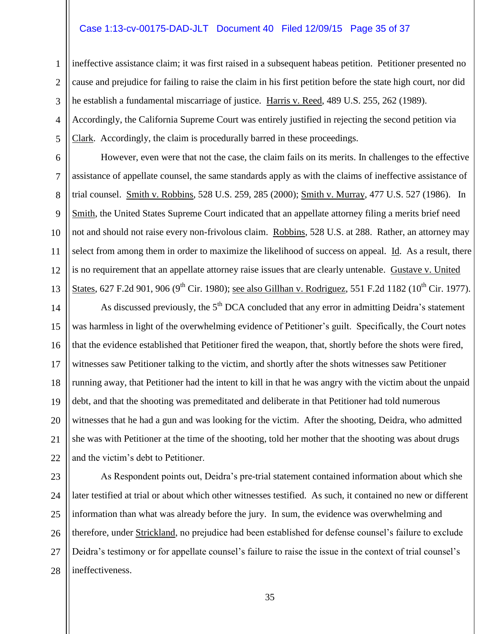### Case 1:13-cv-00175-DAD-JLT Document 40 Filed 12/09/15 Page 35 of 37

ineffective assistance claim; it was first raised in a subsequent habeas petition. Petitioner presented no cause and prejudice for failing to raise the claim in his first petition before the state high court, nor did he establish a fundamental miscarriage of justice. Harris v. Reed, 489 U.S. 255, 262 (1989). Accordingly, the California Supreme Court was entirely justified in rejecting the second petition via

Clark. Accordingly, the claim is procedurally barred in these proceedings.

1

2

3

4

5

6

7

8

9

10

11

12

13

However, even were that not the case, the claim fails on its merits. In challenges to the effective assistance of appellate counsel, the same standards apply as with the claims of ineffective assistance of trial counsel. Smith v. Robbins, 528 U.S. 259, 285 (2000); Smith v. Murray, 477 U.S. 527 (1986). In Smith, the United States Supreme Court indicated that an appellate attorney filing a merits brief need not and should not raise every non-frivolous claim. Robbins, 528 U.S. at 288. Rather, an attorney may select from among them in order to maximize the likelihood of success on appeal. Id. As a result, there is no requirement that an appellate attorney raise issues that are clearly untenable. Gustave v. United States, 627 F.2d 901, 906 (9<sup>th</sup> Cir. 1980); see also Gillhan v. Rodriguez, 551 F.2d 1182 (10<sup>th</sup> Cir. 1977).

14 15 16 17 18 19 20 21 22 As discussed previously, the 5<sup>th</sup> DCA concluded that any error in admitting Deidra's statement was harmless in light of the overwhelming evidence of Petitioner's guilt. Specifically, the Court notes that the evidence established that Petitioner fired the weapon, that, shortly before the shots were fired, witnesses saw Petitioner talking to the victim, and shortly after the shots witnesses saw Petitioner running away, that Petitioner had the intent to kill in that he was angry with the victim about the unpaid debt, and that the shooting was premeditated and deliberate in that Petitioner had told numerous witnesses that he had a gun and was looking for the victim. After the shooting, Deidra, who admitted she was with Petitioner at the time of the shooting, told her mother that the shooting was about drugs and the victim's debt to Petitioner.

23 24 25 26 27 28 As Respondent points out, Deidra's pre-trial statement contained information about which she later testified at trial or about which other witnesses testified. As such, it contained no new or different information than what was already before the jury. In sum, the evidence was overwhelming and therefore, under Strickland, no prejudice had been established for defense counsel's failure to exclude Deidra's testimony or for appellate counsel's failure to raise the issue in the context of trial counsel's ineffectiveness.

35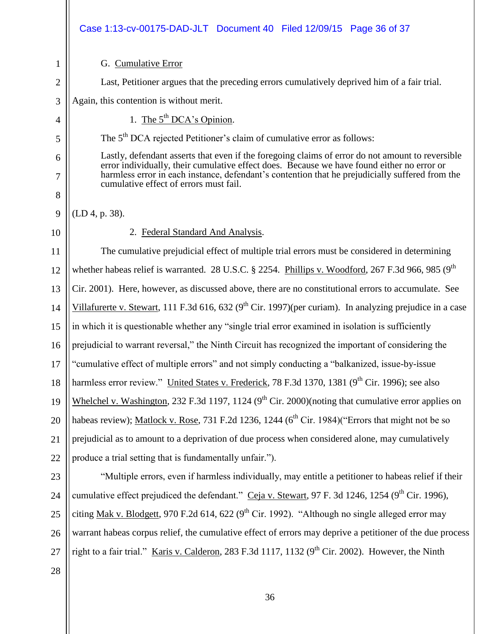|                | Case 1:13-cv-00175-DAD-JLT Document 40 Filed 12/09/15 Page 36 of 37                                                                                                                            |  |
|----------------|------------------------------------------------------------------------------------------------------------------------------------------------------------------------------------------------|--|
| $\mathbf{1}$   | G. Cumulative Error                                                                                                                                                                            |  |
| $\overline{2}$ | Last, Petitioner argues that the preceding errors cumulatively deprived him of a fair trial.                                                                                                   |  |
| 3              | Again, this contention is without merit.                                                                                                                                                       |  |
| 4              | 1. The $5^{th}$ DCA's Opinion.                                                                                                                                                                 |  |
| 5              | The 5 <sup>th</sup> DCA rejected Petitioner's claim of cumulative error as follows:                                                                                                            |  |
| 6              | Lastly, defendant asserts that even if the foregoing claims of error do not amount to reversible<br>error individually, their cumulative effect does. Because we have found either no error or |  |
| 7              | harmless error in each instance, defendant's contention that he prejudicially suffered from the<br>cumulative effect of errors must fail.                                                      |  |
| 8              |                                                                                                                                                                                                |  |
| 9              | (LD 4, p. 38).                                                                                                                                                                                 |  |
| 10             | 2. Federal Standard And Analysis.                                                                                                                                                              |  |
| 11             | The cumulative prejudicial effect of multiple trial errors must be considered in determining                                                                                                   |  |
| 12             | whether habeas relief is warranted. 28 U.S.C. § 2254. Phillips v. Woodford, 267 F.3d 966, 985 (9 <sup>th</sup>                                                                                 |  |
| 13             | Cir. 2001). Here, however, as discussed above, there are no constitutional errors to accumulate. See                                                                                           |  |
| 14             | Villafurerte v. Stewart, 111 F.3d 616, 632 ( $9th$ Cir. 1997)(per curiam). In analyzing prejudice in a case                                                                                    |  |
| 15             | in which it is questionable whether any "single trial error examined in isolation is sufficiently                                                                                              |  |
| 16             | prejudicial to warrant reversal," the Ninth Circuit has recognized the important of considering the                                                                                            |  |
| 17             | "cumulative effect of multiple errors" and not simply conducting a "balkanized, issue-by-issue                                                                                                 |  |
| 18             | harmless error review." United States v. Frederick, 78 F.3d 1370, 1381 (9 <sup>th</sup> Cir. 1996); see also                                                                                   |  |
| 19             | Whelchel v. Washington, 232 F.3d 1197, 1124 ( $9th$ Cir. 2000)(noting that cumulative error applies on                                                                                         |  |
| 20             | habeas review); Matlock v. Rose, 731 F.2d 1236, 1244 (6 <sup>th</sup> Cir. 1984)("Errors that might not be so                                                                                  |  |
| 21             | prejudicial as to amount to a deprivation of due process when considered alone, may cumulatively                                                                                               |  |
| 22             | produce a trial setting that is fundamentally unfair.").                                                                                                                                       |  |
| 23             | "Multiple errors, even if harmless individually, may entitle a petitioner to habeas relief if their                                                                                            |  |
| 24             | cumulative effect prejudiced the defendant." Ceja v. Stewart, 97 F. 3d 1246, 1254 (9 <sup>th</sup> Cir. 1996),                                                                                 |  |
| 25             | citing <u>Mak v. Blodgett</u> , 970 F.2d 614, 622 (9 <sup>th</sup> Cir. 1992). "Although no single alleged error may                                                                           |  |
| 26             | warrant habeas corpus relief, the cumulative effect of errors may deprive a petitioner of the due process                                                                                      |  |
| 27             | right to a fair trial." Karis v. Calderon, 283 F.3d 1117, 1132 ( $9th$ Cir. 2002). However, the Ninth                                                                                          |  |
| 28             |                                                                                                                                                                                                |  |
|                |                                                                                                                                                                                                |  |